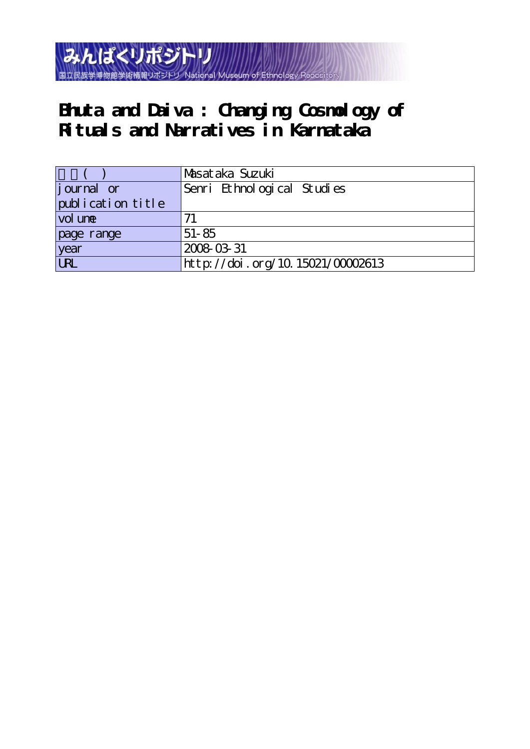

# **Bhuta and Daiva : Changing Cosmology of Rituals and Narratives in Karnataka**

|                   | Masataka Suzuki                  |
|-------------------|----------------------------------|
| journal or        | Senri Ethnological Studies       |
| publication title |                                  |
| vol une           |                                  |
| page range        | $51 - 85$                        |
| year              | 2008-03-31                       |
| URL               | http://doi.org/10.15021/00002613 |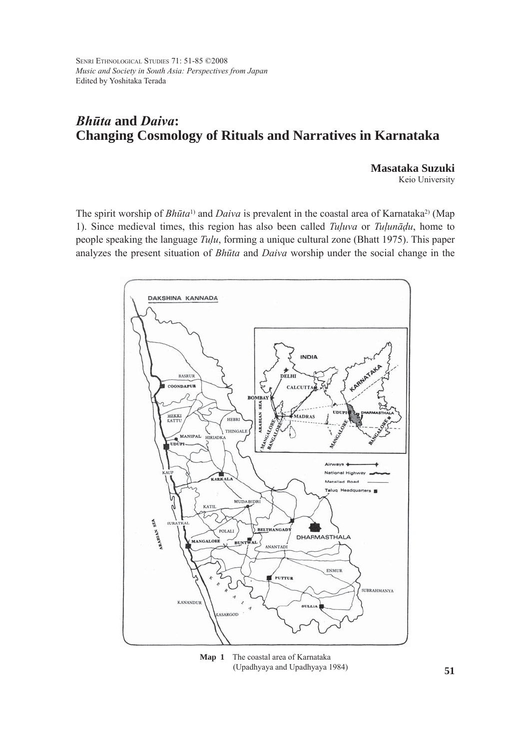SENRI ETHNOLOGICAL STUDIES 71: 51-85 ©2008 *Music and Society in South Asia: Perspectives from Japan* Edited by Yoshitaka Terada

# *Bhūta* **and** *Daiva***: Changing Cosmology of Rituals and Narratives in Karnataka**

**Masataka Suzuki**

Keio University

The spirit worship of *Bhūta*<sup>1</sup>) and *Daiva* is prevalent in the coastal area of Karnataka<sup>2</sup>) (Map 1). Since medieval times, this region has also been called *Tuluva* or *Tulunādu*, home to people speaking the language *Tulu*, forming a unique cultural zone (Bhatt 1975). This paper analyzes the present situation of *Bhūta* and *Daiva* worship under the social change in the



**Map 1** The coastal area of Karnataka (Upadhyaya and Upadhyaya 1984)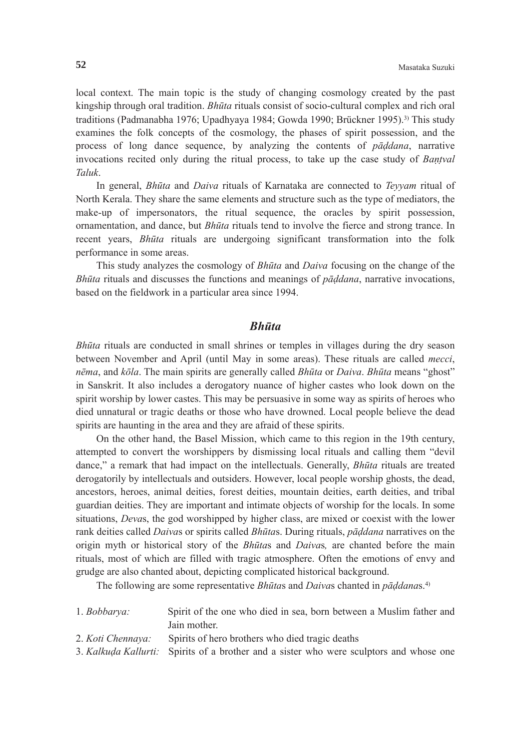local context. The main topic is the study of changing cosmology created by the past kingship through oral tradition. *Bhūta* rituals consist of socio-cultural complex and rich oral traditions (Padmanabha 1976; Upadhyaya 1984; Gowda 1990; Brückner 1995).3) This study examines the folk concepts of the cosmology, the phases of spirit possession, and the process of long dance sequence, by analyzing the contents of *pāddana*, narrative invocations recited only during the ritual process, to take up the case study of *Bantval Taluk*.

 In general, *Bhūta* and *Daiva* rituals of Karnataka are connected to *Teyyam* ritual of North Kerala. They share the same elements and structure such as the type of mediators, the make-up of impersonators, the ritual sequence, the oracles by spirit possession, ornamentation, and dance, but *Bhūta* rituals tend to involve the fierce and strong trance. In recent years, *Bhūta* rituals are undergoing significant transformation into the folk performance in some areas.

 This study analyzes the cosmology of *Bhūta* and *Daiva* focusing on the change of the *Bhūta* rituals and discusses the functions and meanings of *pāddana*, narrative invocations, based on the fieldwork in a particular area since 1994.

# *Bhūta*

*Bhūta* rituals are conducted in small shrines or temples in villages during the dry season between November and April (until May in some areas). These rituals are called *mecci*, *nēma*, and *kōla*. The main spirits are generally called *Bhūta* or *Daiva*. *Bhūta* means "ghost" in Sanskrit. It also includes a derogatory nuance of higher castes who look down on the spirit worship by lower castes. This may be persuasive in some way as spirits of heroes who died unnatural or tragic deaths or those who have drowned. Local people believe the dead spirits are haunting in the area and they are afraid of these spirits.

 On the other hand, the Basel Mission, which came to this region in the 19th century, attempted to convert the worshippers by dismissing local rituals and calling them "devil dance," a remark that had impact on the intellectuals. Generally, *Bhūta* rituals are treated derogatorily by intellectuals and outsiders. However, local people worship ghosts, the dead, ancestors, heroes, animal deities, forest deities, mountain deities, earth deities, and tribal guardian deities. They are important and intimate objects of worship for the locals. In some situations, *Deva*s, the god worshipped by higher class, are mixed or coexist with the lower rank deities called *Daiva*s or spirits called *Bhūta*s. During rituals, *pāddana* narratives on the origin myth or historical story of the *Bhūta*s and *Daiva*s*,* are chanted before the main rituals, most of which are filled with tragic atmosphere. Often the emotions of envy and grudge are also chanted about, depicting complicated historical background.

The following are some representative *Bhūta*s and *Daiva*s chanted in *pāddana*s.4)

| 1. Bobbarya: | Spirit of the one who died in sea, born between a Muslim father and |  |  |
|--------------|---------------------------------------------------------------------|--|--|
|              | Jain mother.                                                        |  |  |

- 2. *Koti Chennaya:* Spirits of hero brothers who died tragic deaths
- 3. *Kalkuda Kallurti:* Spirits of a brother and a sister who were sculptors and whose one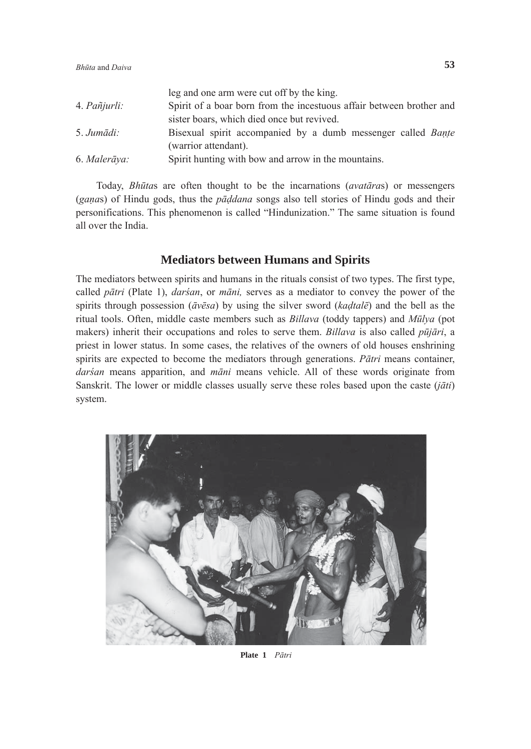| reg and one arm were cut on by the king.                             |
|----------------------------------------------------------------------|
| Spirit of a boar born from the incestuous affair between brother and |
| sister boars, which died once but revived.                           |
| Bisexual spirit accompanied by a dumb messenger called <i>Bante</i>  |
| (warrior attendant).                                                 |
| Spirit hunting with bow and arrow in the mountains.                  |
|                                                                      |

leg and one arm were cut of  $\alpha$  by the king. The cut

 Today, *Bhūta*s are often thought to be the incarnations (*avatāra*s) or messengers (*gana*s) of Hindu gods, thus the *pāddana* songs also tell stories of Hindu gods and their personifications. This phenomenon is called "Hindunization." The same situation is found all over the India.

# **Mediators between Humans and Spirits**

The mediators between spirits and humans in the rituals consist of two types. The first type, called *pātri* (Plate 1), *darśan*, or *māni,* serves as a mediator to convey the power of the spirits through possession (*āvēsa*) by using the silver sword (*kadtalē*) and the bell as the ritual tools. Often, middle caste members such as *Billava* (toddy tappers) and *Mūlya* (pot makers) inherit their occupations and roles to serve them. *Billava* is also called *pūjāri*, a priest in lower status. In some cases, the relatives of the owners of old houses enshrining spirits are expected to become the mediators through generations. *Pātri* means container, *darśan* means apparition, and *māni* means vehicle. All of these words originate from Sanskrit. The lower or middle classes usually serve these roles based upon the caste (*jāti*) system.



**Plate 1** *Pātri*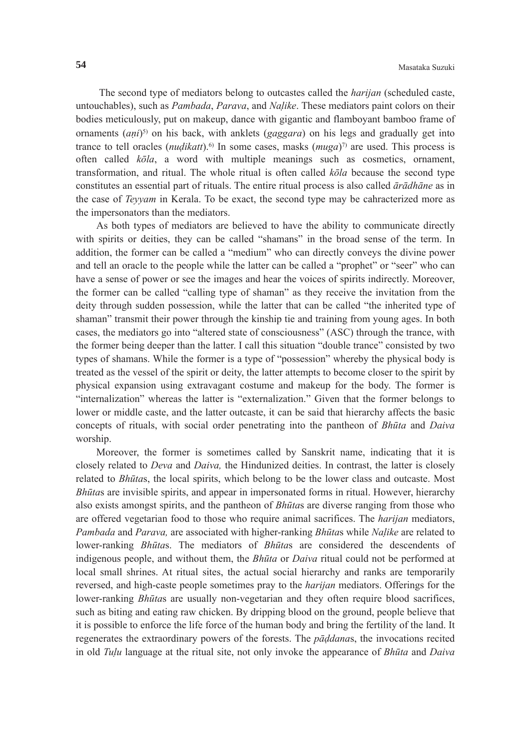The second type of mediators belong to outcastes called the *harijan* (scheduled caste, untouchables), such as *Pambada*, *Parava*, and *Nalike*. These mediators paint colors on their bodies meticulously, put on makeup, dance with gigantic and flamboyant bamboo frame of ornaments (*ani*)<sup>5)</sup> on his back, with anklets (*gaggara*) on his legs and gradually get into trance to tell oracles (*nudikatt*).<sup>6)</sup> In some cases, masks ( $muqa$ <sup> $\gamma$ </sup>) are used. This process is often called *kōla*, a word with multiple meanings such as cosmetics, ornament, transformation, and ritual. The whole ritual is often called *kōla* because the second type constitutes an essential part of rituals. The entire ritual process is also called *ārādhāne* as in the case of *Teyyam* in Kerala. To be exact, the second type may be cahracterized more as the impersonators than the mediators.

 As both types of mediators are believed to have the ability to communicate directly with spirits or deities, they can be called "shamans" in the broad sense of the term. In addition, the former can be called a "medium" who can directly conveys the divine power and tell an oracle to the people while the latter can be called a "prophet" or "seer" who can have a sense of power or see the images and hear the voices of spirits indirectly. Moreover, the former can be called "calling type of shaman" as they receive the invitation from the deity through sudden possession, while the latter that can be called "the inherited type of shaman" transmit their power through the kinship tie and training from young ages. In both cases, the mediators go into "altered state of consciousness" (ASC) through the trance, with the former being deeper than the latter. I call this situation "double trance" consisted by two types of shamans. While the former is a type of "possession" whereby the physical body is treated as the vessel of the spirit or deity, the latter attempts to become closer to the spirit by physical expansion using extravagant costume and makeup for the body. The former is "internalization" whereas the latter is "externalization." Given that the former belongs to lower or middle caste, and the latter outcaste, it can be said that hierarchy affects the basic concepts of rituals, with social order penetrating into the pantheon of *Bhūta* and *Daiva* worship.

 Moreover, the former is sometimes called by Sanskrit name, indicating that it is closely related to *Deva* and *Daiva,* the Hindunized deities. In contrast, the latter is closely related to *Bhūta*s, the local spirits, which belong to be the lower class and outcaste. Most *Bhūta*s are invisible spirits, and appear in impersonated forms in ritual. However, hierarchy also exists amongst spirits, and the pantheon of *Bhūta*s are diverse ranging from those who are offered vegetarian food to those who require animal sacrifices. The *harijan* mediators, *Pambada* and *Parava,* are associated with higher-ranking *Bhūta*s while *Nalike* are related to lower-ranking *Bhūta*s. The mediators of *Bhūta*s are considered the descendents of indigenous people, and without them, the *Bhūta* or *Daiva* ritual could not be performed at local small shrines. At ritual sites, the actual social hierarchy and ranks are temporarily reversed, and high-caste people sometimes pray to the *harijan* mediators. Offerings for the lower-ranking *Bhūta*s are usually non-vegetarian and they often require blood sacrifices, such as biting and eating raw chicken. By dripping blood on the ground, people believe that it is possible to enforce the life force of the human body and bring the fertility of the land. It regenerates the extraordinary powers of the forests. The *pāddana*s, the invocations recited in old *Tulu* language at the ritual site, not only invoke the appearance of *Bhūta* and *Daiva*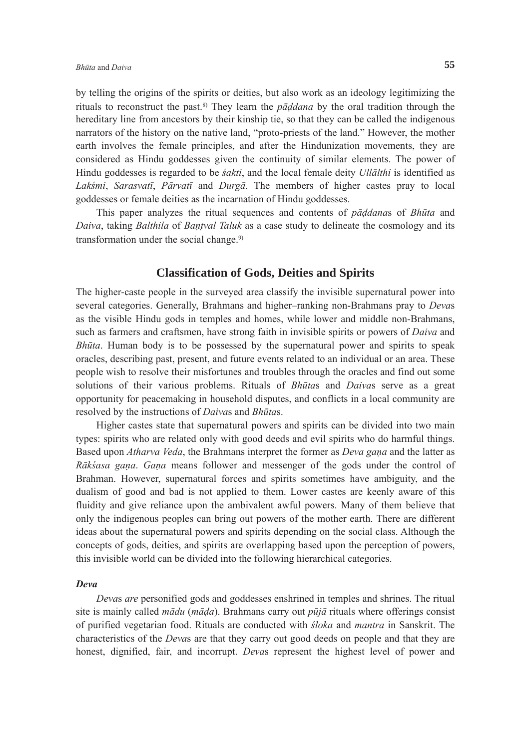by telling the origins of the spirits or deities, but also work as an ideology legitimizing the rituals to reconstruct the past.8) They learn the *pāddana* by the oral tradition through the hereditary line from ancestors by their kinship tie, so that they can be called the indigenous narrators of the history on the native land, "proto-priests of the land." However, the mother earth involves the female principles, and after the Hindunization movements, they are considered as Hindu goddesses given the continuity of similar elements. The power of Hindu goddesses is regarded to be *śakti*, and the local female deity *Ullālthi* is identified as *Lakśmi*, *Sarasvatī*, *Pārvatī* and *Durgā*. The members of higher castes pray to local goddesses or female deities as the incarnation of Hindu goddesses.

 This paper analyzes the ritual sequences and contents of *pāddana*s of *Bhūta* and *Daiva*, taking *Balthila* of *Bantval Taluk* as a case study to delineate the cosmology and its transformation under the social change.<sup>9)</sup>

# **Classification of Gods, Deities and Spirits**

The higher-caste people in the surveyed area classify the invisible supernatural power into several categories. Generally, Brahmans and higher–ranking non-Brahmans pray to *Deva*s as the visible Hindu gods in temples and homes, while lower and middle non-Brahmans, such as farmers and craftsmen, have strong faith in invisible spirits or powers of *Daiva* and *Bhūta*. Human body is to be possessed by the supernatural power and spirits to speak oracles, describing past, present, and future events related to an individual or an area. These people wish to resolve their misfortunes and troubles through the oracles and find out some solutions of their various problems. Rituals of *Bhūta*s and *Daiva*s serve as a great opportunity for peacemaking in household disputes, and conflicts in a local community are resolved by the instructions of *Daiva*s and *Bhūta*s.

 Higher castes state that supernatural powers and spirits can be divided into two main types: spirits who are related only with good deeds and evil spirits who do harmful things. Based upon *Atharva Veda*, the Brahmans interpret the former as *Deva gana* and the latter as *Rākśasa gana*. *Gana* means follower and messenger of the gods under the control of Brahman. However, supernatural forces and spirits sometimes have ambiguity, and the dualism of good and bad is not applied to them. Lower castes are keenly aware of this fluidity and give reliance upon the ambivalent awful powers. Many of them believe that only the indigenous peoples can bring out powers of the mother earth. There are different ideas about the supernatural powers and spirits depending on the social class. Although the concepts of gods, deities, and spirits are overlapping based upon the perception of powers, this invisible world can be divided into the following hierarchical categories.

#### *Deva*

*Deva*s *are* personified gods and goddesses enshrined in temples and shrines. The ritual site is mainly called *mādu* (*māda*). Brahmans carry out *pūjā* rituals where offerings consist of purified vegetarian food. Rituals are conducted with *śloka* and *mantra* in Sanskrit. The characteristics of the *Deva*s are that they carry out good deeds on people and that they are honest, dignified, fair, and incorrupt. *Deva*s represent the highest level of power and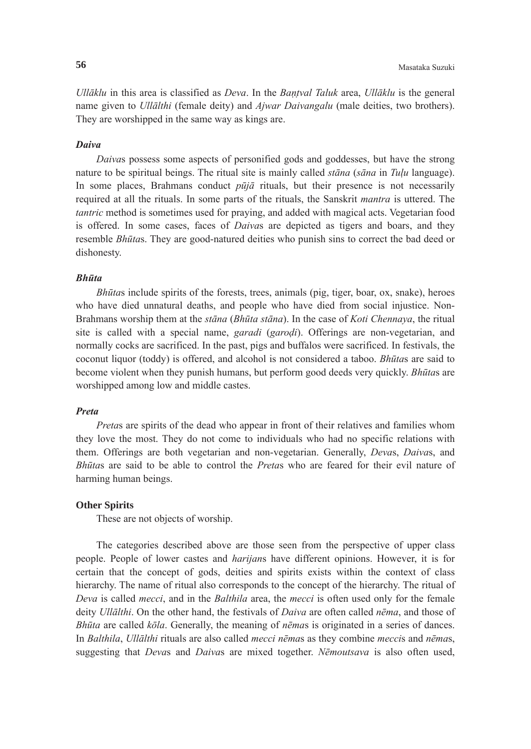*Ullāklu* in this area is classified as *Deva*. In the *Bantval Taluk* area, *Ullāklu* is the general name given to *Ullālthi* (female deity) and *Ajwar Daivangalu* (male deities, two brothers). They are worshipped in the same way as kings are.

#### *Daiva*

 *Daiva*s possess some aspects of personified gods and goddesses, but have the strong nature to be spiritual beings. The ritual site is mainly called *stāna* (*sāna* in *Tulu* language). In some places, Brahmans conduct  $p\bar{u}j\bar{a}$  rituals, but their presence is not necessarily required at all the rituals. In some parts of the rituals, the Sanskrit *mantra* is uttered. The *tantric* method is sometimes used for praying, and added with magical acts. Vegetarian food is offered. In some cases, faces of *Daiva*s are depicted as tigers and boars, and they resemble *Bhūta*s. They are good-natured deities who punish sins to correct the bad deed or dishonesty.

# *Bhūta*

 *Bhūta*s include spirits of the forests, trees, animals (pig, tiger, boar, ox, snake), heroes who have died unnatural deaths, and people who have died from social injustice. Non-Brahmans worship them at the *stāna* (*Bhūta stāna*). In the case of *Koti Chennaya*, the ritual site is called with a special name, *garadi* (*garodi*). Offerings are non-vegetarian, and normally cocks are sacrificed. In the past, pigs and buffalos were sacrificed. In festivals, the coconut liquor (toddy) is offered, and alcohol is not considered a taboo. *Bhūta*s are said to become violent when they punish humans, but perform good deeds very quickly. *Bhūta*s are worshipped among low and middle castes.

#### *Preta*

*Preta*s are spirits of the dead who appear in front of their relatives and families whom they love the most. They do not come to individuals who had no specific relations with them. Offerings are both vegetarian and non-vegetarian. Generally, *Deva*s, *Daiva*s, and *Bhūta*s are said to be able to control the *Preta*s who are feared for their evil nature of harming human beings.

#### **Other Spirits**

These are not objects of worship.

 The categories described above are those seen from the perspective of upper class people. People of lower castes and *harijan*s have different opinions. However, it is for certain that the concept of gods, deities and spirits exists within the context of class hierarchy. The name of ritual also corresponds to the concept of the hierarchy. The ritual of *Deva* is called *mecci*, and in the *Balthila* area, the *mecci* is often used only for the female deity *Ullālthi*. On the other hand, the festivals of *Daiva* are often called *nēma*, and those of *Bhūta* are called *kōla*. Generally, the meaning of *nēma*s is originated in a series of dances. In *Balthila*, *Ullālthi* rituals are also called *mecci nēma*s as they combine *mecci*s and *nēma*s, suggesting that *Deva*s and *Daiva*s are mixed together. *Nēmoutsava* is also often used,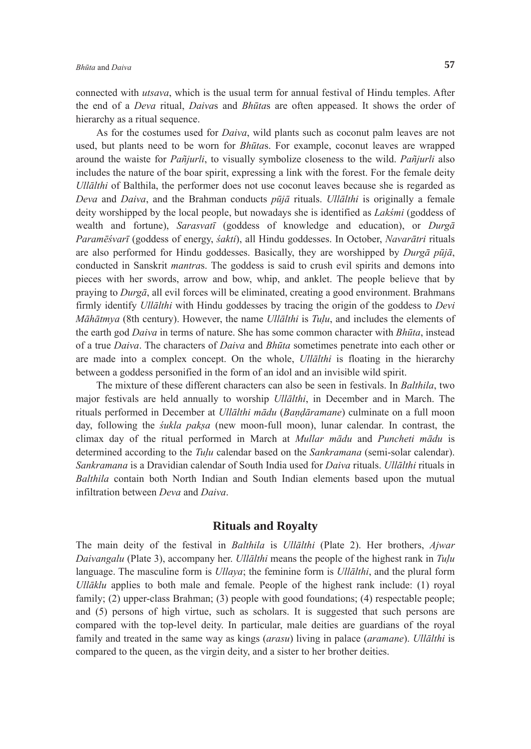connected with *utsava*, which is the usual term for annual festival of Hindu temples. After the end of a *Deva* ritual, *Daiva*s and *Bhūta*s are often appeased. It shows the order of hierarchy as a ritual sequence.

 As for the costumes used for *Daiva*, wild plants such as coconut palm leaves are not used, but plants need to be worn for *Bhūta*s. For example, coconut leaves are wrapped around the waiste for *Pañjurli*, to visually symbolize closeness to the wild. *Pañjurli* also includes the nature of the boar spirit, expressing a link with the forest. For the female deity *Ullālthi* of Balthila, the performer does not use coconut leaves because she is regarded as *Deva* and *Daiva*, and the Brahman conducts *pūjā* rituals. *Ullālthi* is originally a female deity worshipped by the local people, but nowadays she is identified as *Lakśmi* (goddess of wealth and fortune), *Sarasvatī* (goddess of knowledge and education), or *Durgā Paramēśvarī* (goddess of energy, *śakti*), all Hindu goddesses. In October, *Navarātri* rituals are also performed for Hindu goddesses. Basically, they are worshipped by *Durgā pūjā*, conducted in Sanskrit *mantra*s. The goddess is said to crush evil spirits and demons into pieces with her swords, arrow and bow, whip, and anklet. The people believe that by praying to *Durgā*, all evil forces will be eliminated, creating a good environment. Brahmans firmly identify *Ullālthi* with Hindu goddesses by tracing the origin of the goddess to *Devi Māhātmya* (8th century). However, the name *Ullālthi* is *Tulu*, and includes the elements of the earth god *Daiva* in terms of nature. She has some common character with *Bhūta*, instead of a true *Daiva*. The characters of *Daiva* and *Bhūta* sometimes penetrate into each other or are made into a complex concept. On the whole, *Ullālthi* is floating in the hierarchy between a goddess personified in the form of an idol and an invisible wild spirit.

 The mixture of these different characters can also be seen in festivals. In *Balthila*, two major festivals are held annually to worship *Ullālthi*, in December and in March. The rituals performed in December at *Ullālthi mādu* (*Bandāramane*) culminate on a full moon day, following the *śukla paksa* (new moon-full moon), lunar calendar. In contrast, the climax day of the ritual performed in March at *Mullar mādu* and *Puncheti mādu* is determined according to the *Tulu* calendar based on the *Sankramana* (semi-solar calendar). *Sankramana* is a Dravidian calendar of South India used for *Daiva* rituals. *Ullālthi* rituals in *Balthila* contain both North Indian and South Indian elements based upon the mutual infiltration between *Deva* and *Daiva*.

# **Rituals and Royalty**

The main deity of the festival in *Balthila* is *Ullālthi* (Plate 2). Her brothers, *Ajwar Daivangalu* (Plate 3), accompany her. *Ullālthi* means the people of the highest rank in *Tulu* language. The masculine form is *Ullaya*; the feminine form is *Ullālthi*, and the plural form *Ullāklu* applies to both male and female. People of the highest rank include: (1) royal family; (2) upper-class Brahman; (3) people with good foundations; (4) respectable people; and (5) persons of high virtue, such as scholars. It is suggested that such persons are compared with the top-level deity. In particular, male deities are guardians of the royal family and treated in the same way as kings (*arasu*) living in palace (*aramane*). *Ullālthi* is compared to the queen, as the virgin deity, and a sister to her brother deities.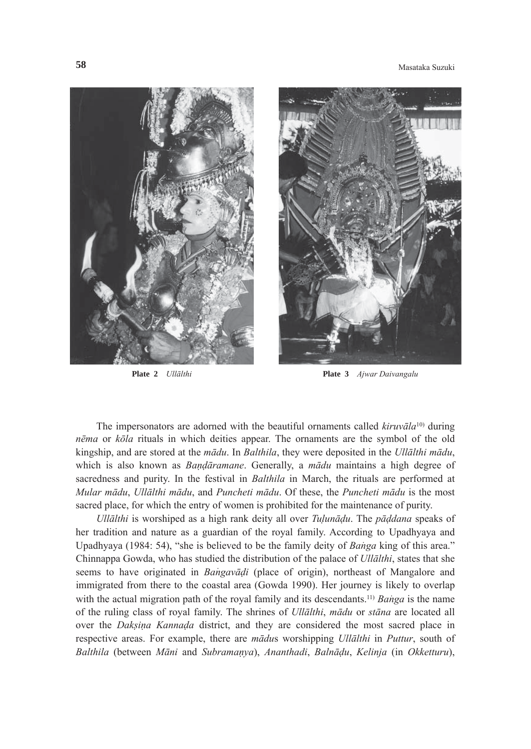**58** Masataka Suzuki





**Plate 2** *Ullālthi* **Plate 3** *Ajwar Daivangalu*

The impersonators are adorned with the beautiful ornaments called  $kiruv\bar{a}la^{10}$  during *nēma* or *kōla* rituals in which deities appear. The ornaments are the symbol of the old kingship, and are stored at the *mādu*. In *Balthila*, they were deposited in the *Ullālthi mādu*, which is also known as *Bandāramane*. Generally, a *mādu* maintains a high degree of sacredness and purity. In the festival in *Balthila* in March, the rituals are performed at *Mular mādu*, *Ullālthi mādu*, and *Puncheti mādu*. Of these, the *Puncheti mādu* is the most sacred place, for which the entry of women is prohibited for the maintenance of purity.

*Ullālthi* is worshiped as a high rank deity all over *Tulunādu*. The *pāddana* speaks of her tradition and nature as a guardian of the royal family. According to Upadhyaya and Upadhyaya (1984: 54), "she is believed to be the family deity of *Banga* king of this area." Chinnappa Gowda, who has studied the distribution of the palace of *Ullālthi*, states that she seems to have originated in *Bangavãdi* (place of origin), northeast of Mangalore and immigrated from there to the coastal area (Gowda 1990). Her journey is likely to overlap with the actual migration path of the royal family and its descendants.<sup>11)</sup> *Banga* is the name of the ruling class of royal family. The shrines of *Ullālthi*, *mādu* or *stāna* are located all over the *Daksina Kannada* district, and they are considered the most sacred place in respective areas. For example, there are *mādu*s worshipping *Ullālthi* in *Puttur*, south of *Balthila* (between *Māni* and *Subramanya*), *Ananthadi*, *Balnādu*, *Kelinja* (in *Okketturu*),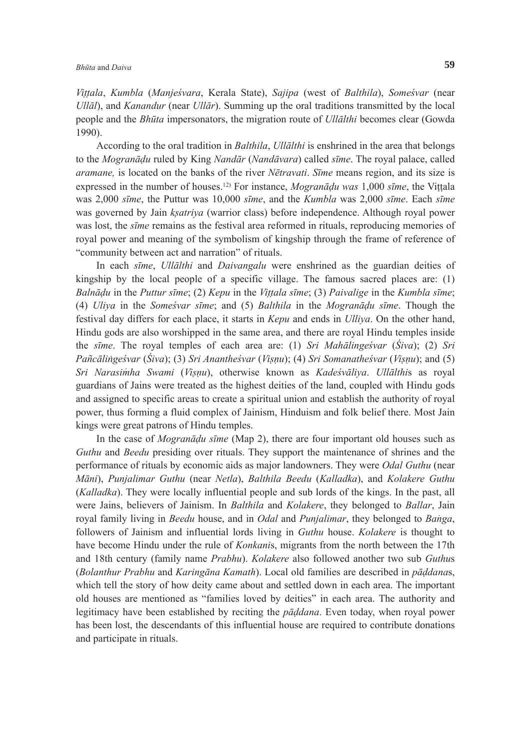*Vittala*, *Kumbla* (*Manjeśvara*, Kerala State), *Sajipa* (west of *Balthila*), *Someśvar* (near *Ullāl*), and *Kanandur* (near *Ullār*). Summing up the oral traditions transmitted by the local people and the *Bhūta* impersonators, the migration route of *Ullālthi* becomes clear (Gowda 1990).

 According to the oral tradition in *Balthila*, *Ullālthi* is enshrined in the area that belongs to the *Mogranādu* ruled by King *Nandār* (*Nandāvara*) called *sīme*. The royal palace, called *aramane,* is located on the banks of the river *Nētravati*. *Sīme* means region, and its size is expressed in the number of houses.12) For instance, *Mogranādu was* 1,000 *sīme*, the Vittala was 2,000 *sīme*, the Puttur was 10,000 *sīme*, and the *Kumbla* was 2,000 *sīme*. Each *sīme* was governed by Jain *ksatriya* (warrior class) before independence. Although royal power was lost, the *sīme* remains as the festival area reformed in rituals, reproducing memories of royal power and meaning of the symbolism of kingship through the frame of reference of "community between act and narration" of rituals.

 In each *sīme*, *Ullālthi* and *Daivangalu* were enshrined as the guardian deities of kingship by the local people of a specific village. The famous sacred places are: (1) Balnādu in the Puttur sīme; (2) Kepu in the Vittala sīme; (3) Paivalige in the Kumbla sīme; (4) *Uliya* in the *Someśvar sīme*; and (5) *Balthila* in the *Mogranādu sīme*. Though the festival day differs for each place, it starts in *Kepu* and ends in *Ulliya*. On the other hand, Hindu gods are also worshipped in the same area, and there are royal Hindu temples inside the *sīme*. The royal temples of each area are: (1) *Sri Mahālingeśvar* (*Śiva*); (2) *Sri*  Pañcālingeśvar (Śiva); (3) Sri Anantheśvar (Visnu); (4) Sri Somanatheśvar (Visnu); and (5) *Sri Narasim*<sup>4</sup> *ha Swami* (*Visnu*), otherwise known as *Kadeśvāliya*. *Ullālthi*s as royal guardians of Jains were treated as the highest deities of the land, coupled with Hindu gods and assigned to specific areas to create a spiritual union and establish the authority of royal power, thus forming a fluid complex of Jainism, Hinduism and folk belief there. Most Jain kings were great patrons of Hindu temples.

 In the case of *Mogranādu sīme* (Map 2), there are four important old houses such as *Guthu* and *Beedu* presiding over rituals. They support the maintenance of shrines and the performance of rituals by economic aids as major landowners. They were *Odal Guthu* (near *Māni*), *Punjalimar Guthu* (near *Netla*), *Balthila Beedu* (*Kalladka*), and *Kolakere Guthu* (*Kalladka*). They were locally influential people and sub lords of the kings. In the past, all were Jains, believers of Jainism. In *Balthila* and *Kolakere*, they belonged to *Ballar*, Jain royal family living in *Beedu* house, and in *Odal* and *Punjalimar*, they belonged to *Banga*, followers of Jainism and influential lords living in *Guthu* house. *Kolakere* is thought to have become Hindu under the rule of *Konkani*s, migrants from the north between the 17th and 18th century (family name *Prabhu*). *Kolakere* also followed another two sub *Guthu*s (*Bolanthur Prabhu* and *Karingāna Kamath*). Local old families are described in *pāddana*s, which tell the story of how deity came about and settled down in each area. The important old houses are mentioned as "families loved by deities" in each area. The authority and legitimacy have been established by reciting the *pāddana*. Even today, when royal power has been lost, the descendants of this influential house are required to contribute donations and participate in rituals.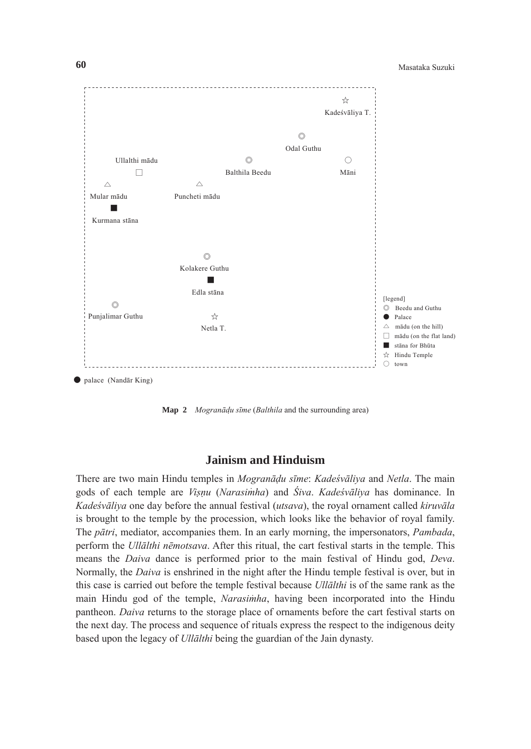

**Map 2** *Mogranādu sīme* (*Balthila* and the surrounding area)

# **Jainism and Hinduism**

There are two main Hindu temples in *Mogranādu sīme*: *Kadeśvāliya* and *Netla*. The main gods of each temple are *Visnu* (*Narasim*<sup>4</sup> *ha*) and *Śiva*. *Kadeśvāliya* has dominance. In *Kadeśvāliya* one day before the annual festival (*utsava*), the royal ornament called *kiruvāla* is brought to the temple by the procession, which looks like the behavior of royal family. The *pātri*, mediator, accompanies them. In an early morning, the impersonators, *Pambada*, perform the *Ullālthi nēmotsava*. After this ritual, the cart festival starts in the temple. This means the *Daiva* dance is performed prior to the main festival of Hindu god, *Deva*. Normally, the *Daiva* is enshrined in the night after the Hindu temple festival is over, but in this case is carried out before the temple festival because *Ullālthi* is of the same rank as the main Hindu god of the temple, *Narasimha*, having been incorporated into the Hindu pantheon. *Daiva* returns to the storage place of ornaments before the cart festival starts on the next day. The process and sequence of rituals express the respect to the indigenous deity based upon the legacy of *Ullālthi* being the guardian of the Jain dynasty.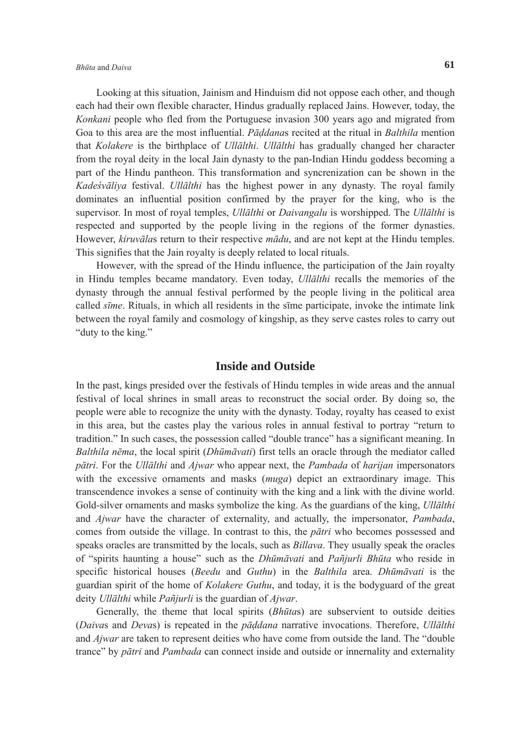# *Bhūta* and *Daiva* **61**

 Looking at this situation, Jainism and Hinduism did not oppose each other, and though each had their own flexible character, Hindus gradually replaced Jains. However, today, the *Konkani* people who fled from the Portuguese invasion 300 years ago and migrated from Goa to this area are the most influential. *Pāddana*s recited at the ritual in *Balthila* mention that *Kolakere* is the birthplace of *Ullālthi*. *Ullālthi* has gradually changed her character from the royal deity in the local Jain dynasty to the pan-Indian Hindu goddess becoming a part of the Hindu pantheon. This transformation and syncrenization can be shown in the *Kadeśvāliya* festival. *Ullālthi* has the highest power in any dynasty. The royal family dominates an influential position confirmed by the prayer for the king, who is the supervisor. In most of royal temples, *Ullālthi* or *Daivangalu* is worshipped. The *Ullālthi* is respected and supported by the people living in the regions of the former dynasties. However, *kiruvāla*s return to their respective *mādu*, and are not kept at the Hindu temples. This signifies that the Jain royalty is deeply related to local rituals.

 However, with the spread of the Hindu influence, the participation of the Jain royalty in Hindu temples became mandatory. Even today, *Ullālthi* recalls the memories of the dynasty through the annual festival performed by the people living in the political area called *sīme*. Rituals, in which all residents in the sīme participate, invoke the intimate link between the royal family and cosmology of kingship, as they serve castes roles to carry out "duty to the king."

# **Inside and Outside**

In the past, kings presided over the festivals of Hindu temples in wide areas and the annual festival of local shrines in small areas to reconstruct the social order. By doing so, the people were able to recognize the unity with the dynasty. Today, royalty has ceased to exist in this area, but the castes play the various roles in annual festival to portray "return to tradition." In such cases, the possession called "double trance" has a significant meaning. In *Balthila nēma*, the local spirit (*Dhūmāvati*) first tells an oracle through the mediator called *pātri*. For the *Ullālthi* and *Ajwar* who appear next, the *Pambada* of *harijan* impersonators with the excessive ornaments and masks (*muga*) depict an extraordinary image. This transcendence invokes a sense of continuity with the king and a link with the divine world. Gold-silver ornaments and masks symbolize the king. As the guardians of the king, *Ullālthi* and *Ajwar* have the character of externality, and actually, the impersonator, *Pambada*, comes from outside the village. In contrast to this, the *pātri* who becomes possessed and speaks oracles are transmitted by the locals, such as *Billava*. They usually speak the oracles of "spirits haunting a house" such as the *Dhūmāvati* and *Pañjurli Bhūta* who reside in specific historical houses (*Beedu* and *Guthu*) in the *Balthila* area. *Dhūmāvati* is the guardian spirit of the home of *Kolakere Guthu*, and today, it is the bodyguard of the great deity *Ullālthi* while *Pañjurli* is the guardian of *Ajwar*.

 Generally, the theme that local spirits (*Bhūta*s) are subservient to outside deities (*Daiva*s and *Deva*s) is repeated in the *pāddana* narrative invocations. Therefore, *Ullālthi* and *Ajwar* are taken to represent deities who have come from outside the land. The "double trance" by *pātri* and *Pambada* can connect inside and outside or innernality and externality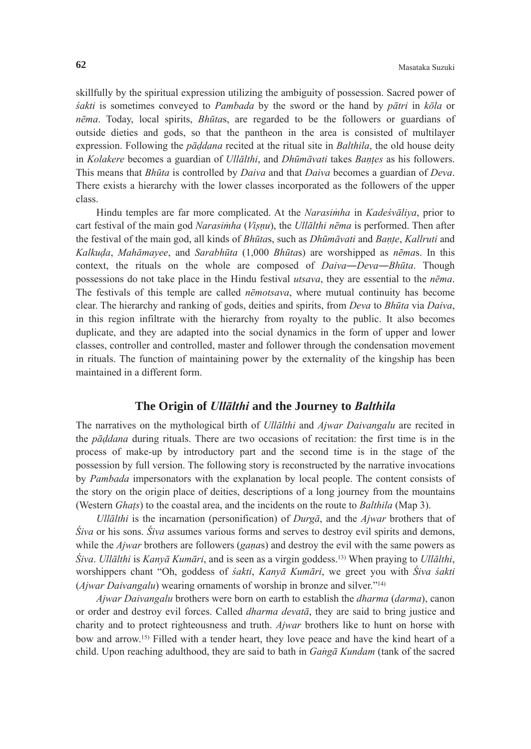skillfully by the spiritual expression utilizing the ambiguity of possession. Sacred power of *śakti* is sometimes conveyed to *Pambada* by the sword or the hand by *pātri* in *kōla* or *nēma*. Today, local spirits, *Bhūta*s, are regarded to be the followers or guardians of outside dieties and gods, so that the pantheon in the area is consisted of multilayer expression. Following the *pāddana* recited at the ritual site in *Balthila*, the old house deity in *Kolakere* becomes a guardian of *Ullālthi*, and *Dhūmāvati* takes *Bantes* as his followers. This means that *Bhūta* is controlled by *Daiva* and that *Daiva* becomes a guardian of *Deva*. There exists a hierarchy with the lower classes incorporated as the followers of the upper class.

Hindu temples are far more complicated. At the *Narasimha* in *Kadeśvāliya*, prior to cart festival of the main god *Narasim*<sup>4</sup> *ha* (*Visnu*), the *Ullālthi nēma* is performed. Then after the festival of the main god, all kinds of *Bhūta*s, such as *Dhūmāvati* and *Bante*, *Kallruti* and *Kalkuda*, *Mahāmayee*, and *Sarabhūta* (1,000 *Bhūta*s) are worshipped as *nēma*s. In this context, the rituals on the whole are composed of *Daiva*―*Deva*―*Bhūta*. Though possessions do not take place in the Hindu festival *utsava*, they are essential to the *nēma*. The festivals of this temple are called *nēmotsava*, where mutual continuity has become clear. The hierarchy and ranking of gods, deities and spirits, from *Deva* to *Bhūta* via *Daiva*, in this region infiltrate with the hierarchy from royalty to the public. It also becomes duplicate, and they are adapted into the social dynamics in the form of upper and lower classes, controller and controlled, master and follower through the condensation movement in rituals. The function of maintaining power by the externality of the kingship has been maintained in a different form.

# **The Origin of** *Ullālthi* **and the Journey to** *Balthila*

The narratives on the mythological birth of *Ullālthi* and *Ajwar Daivangalu* are recited in the *pāddana* during rituals. There are two occasions of recitation: the first time is in the process of make-up by introductory part and the second time is in the stage of the possession by full version. The following story is reconstructed by the narrative invocations by *Pambada* impersonators with the explanation by local people. The content consists of the story on the origin place of deities, descriptions of a long journey from the mountains (Western *Ghats*) to the coastal area, and the incidents on the route to *Balthila* (Map 3).

*Ullālthi* is the incarnation (personification) of *Durgā*, and the *Ajwar* brothers that of *Śiva* or his sons. *Śiva* assumes various forms and serves to destroy evil spirits and demons, while the *Ajwar* brothers are followers (*gana*s) and destroy the evil with the same powers as *Śiva*. *Ullālthi* is *Kanyā Kumāri*, and is seen as a virgin goddess.13) When praying to *Ullālthi*, worshippers chant "Oh, goddess of *śakti*, *Kanyā Kumāri*, we greet you with *Śiva śakti* (*Ajwar Daivangalu*) wearing ornaments of worship in bronze and silver."14)

*Ajwar Daivangalu* brothers were born on earth to establish the *dharma* (*darma*), canon or order and destroy evil forces. Called *dharma devatā*, they are said to bring justice and charity and to protect righteousness and truth. *Ajwar* brothers like to hunt on horse with bow and arrow.15) Filled with a tender heart, they love peace and have the kind heart of a child. Upon reaching adulthood, they are said to bath in *Gangā Kundam* (tank of the sacred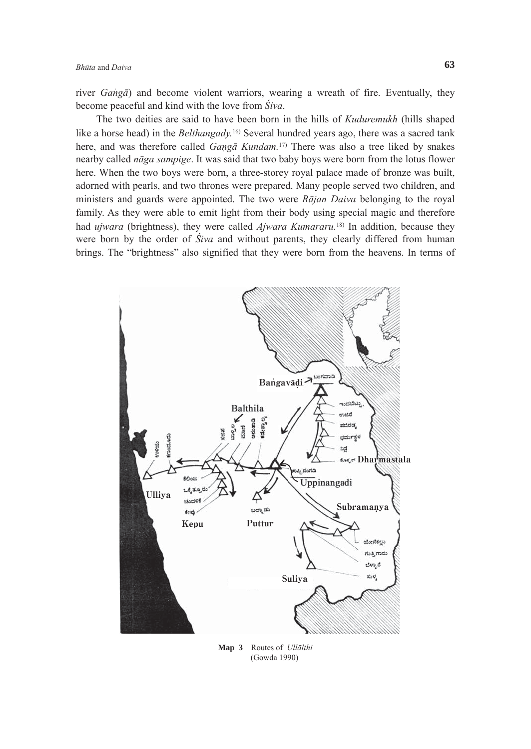river *Ganga*) and become violent warriors, wearing a wreath of fire. Eventually, they become peaceful and kind with the love from *Śiva*.

 The two deities are said to have been born in the hills of *Kuduremukh* (hills shaped like a horse head) in the *Belthangady*.<sup>16)</sup> Several hundred years ago, there was a sacred tank here, and was therefore called *Gangā Kundam.*17) There was also a tree liked by snakes nearby called *nāga sampige*. It was said that two baby boys were born from the lotus flower here. When the two boys were born, a three-storey royal palace made of bronze was built, adorned with pearls, and two thrones were prepared. Many people served two children, and ministers and guards were appointed. The two were *Rājan Daiva* belonging to the royal family. As they were able to emit light from their body using special magic and therefore had *ujwara* (brightness), they were called *Ajwara Kumararu.*18) In addition, because they were born by the order of *Śiva* and without parents, they clearly differed from human brings. The "brightness" also signified that they were born from the heavens. In terms of



**Map 3** Routes of *Ullālthi* (Gowda 1990)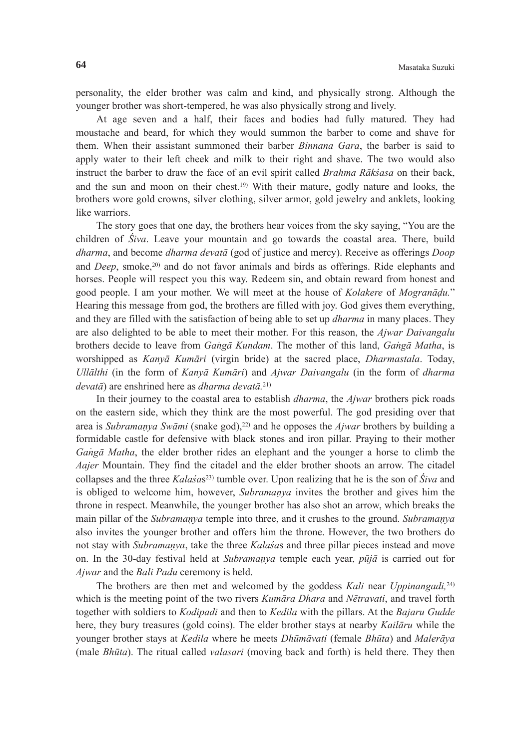personality, the elder brother was calm and kind, and physically strong. Although the younger brother was short-tempered, he was also physically strong and lively.

 At age seven and a half, their faces and bodies had fully matured. They had moustache and beard, for which they would summon the barber to come and shave for them. When their assistant summoned their barber *Binnana Gara*, the barber is said to apply water to their left cheek and milk to their right and shave. The two would also instruct the barber to draw the face of an evil spirit called *Brahma Rākśasa* on their back, and the sun and moon on their chest.19) With their mature, godly nature and looks, the brothers wore gold crowns, silver clothing, silver armor, gold jewelry and anklets, looking like warriors.

 The story goes that one day, the brothers hear voices from the sky saying, "You are the children of *Śiva*. Leave your mountain and go towards the coastal area. There, build *dharma*, and become *dharma devatā* (god of justice and mercy). Receive as offerings *Doop* and *Deep*, smoke,20) and do not favor animals and birds as offerings. Ride elephants and horses. People will respect you this way. Redeem sin, and obtain reward from honest and good people. I am your mother. We will meet at the house of *Kolakere* of *Mogranādu.*" Hearing this message from god, the brothers are filled with joy. God gives them everything, and they are filled with the satisfaction of being able to set up *dharma* in many places. They are also delighted to be able to meet their mother. For this reason, the *Ajwar Daivangalu* brothers decide to leave from *Gangā Kundam*. The mother of this land, *Gangā Matha*, is worshipped as *Kanyā Kumāri* (virgin bride) at the sacred place, *Dharmastala*. Today, *Ullālthi* (in the form of *Kanyā Kumāri*) and *Ajwar Daivangalu* (in the form of *dharma devatā*) are enshrined here as *dharma devatā.* 21)

 In their journey to the coastal area to establish *dharma*, the *Ajwar* brothers pick roads on the eastern side, which they think are the most powerful. The god presiding over that area is *Subramanya Swāmi* (snake god),<sup>22)</sup> and he opposes the *Ajwar* brothers by building a formidable castle for defensive with black stones and iron pillar. Praying to their mother *Gangā Matha*, the elder brother rides an elephant and the younger a horse to climb the *Aajer* Mountain. They find the citadel and the elder brother shoots an arrow. The citadel collapses and the three *Kalaśa*s23) tumble over. Upon realizing that he is the son of *Śiva* and is obliged to welcome him, however, *Subramanya* invites the brother and gives him the throne in respect. Meanwhile, the younger brother has also shot an arrow, which breaks the main pillar of the *Subramanya* temple into three, and it crushes to the ground. *Subramanya* also invites the younger brother and offers him the throne. However, the two brothers do not stay with *Subramanya*, take the three *Kalaśa*s and three pillar pieces instead and move on. In the 30-day festival held at *Subramanya* temple each year, *pūjā* is carried out for *Ajwar* and the *Bali Padu* ceremony is held.

 The brothers are then met and welcomed by the goddess *Kali* near *Uppinangadi,*24) which is the meeting point of the two rivers *Kumāra Dhara* and *Nētravati*, and travel forth together with soldiers to *Kodipadi* and then to *Kedila* with the pillars. At the *Bajaru Gudde* here, they bury treasures (gold coins). The elder brother stays at nearby *Kailāru* while the younger brother stays at *Kedila* where he meets *Dhūmāvati* (female *Bhūta*) and *Malerāya* (male *Bhūta*). The ritual called *valasari* (moving back and forth) is held there. They then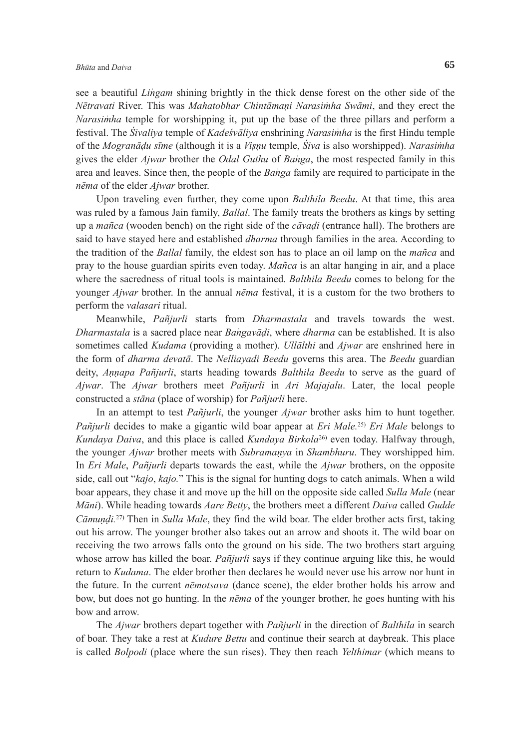see a beautiful *Lingam* shining brightly in the thick dense forest on the other side of the *Nētravati* River. This was *Mahatobhar Chintāmani Narasim*<sup>4</sup> *ha Swāmi*, and they erect the *Narasimha* temple for worshipping it, put up the base of the three pillars and perform a festival. The *Śivaliya* temple of *Kadeśvāliya* enshrining *Narasim*<sup>4</sup> *ha* is the first Hindu temple of the *Mogranādu sīme* (although it is a *Visnu* temple, *Śiva* is also worshipped). *Narasim*<sup>4</sup> *ha* gives the elder *Ajwar* brother the *Odal Guthu* of *Banga*, the most respected family in this area and leaves. Since then, the people of the *Banga* family are required to participate in the *nēma* of the elder *Ajwar* brother.

 Upon traveling even further, they come upon *Balthila Beedu*. At that time, this area was ruled by a famous Jain family, *Ballal*. The family treats the brothers as kings by setting up a *mañca* (wooden bench) on the right side of the *cāvadi* (entrance hall). The brothers are said to have stayed here and established *dharma* through families in the area. According to the tradition of the *Ballal* family, the eldest son has to place an oil lamp on the *mañca* and pray to the house guardian spirits even today. *Mañca* is an altar hanging in air, and a place where the sacredness of ritual tools is maintained. *Balthila Beedu* comes to belong for the younger *Ajwar* brother. In the annual *nēma* festival, it is a custom for the two brothers to perform the *valasari* ritual.

 Meanwhile, *Pañjurli* starts from *Dharmastala* and travels towards the west. *Dharmastala* is a sacred place near *Bangavādi*, where *dharma* can be established. It is also sometimes called *Kudama* (providing a mother). *Ullālthi* and *Ajwar* are enshrined here in the form of *dharma devatā*. The *Nelliayadi Beedu* governs this area. The *Beedu* guardian deity, *Annapa Pañjurli*, starts heading towards *Balthila Beedu* to serve as the guard of *Ajwar*. The *Ajwar* brothers meet *Pañjurli* in *Ari Majajalu*. Later, the local people constructed a *stāna* (place of worship) for *Pañjurli* here.

 In an attempt to test *Pañjurli*, the younger *Ajwar* brother asks him to hunt together. *Pañjurli* decides to make a gigantic wild boar appear at *Eri Male.*25) *Eri Male* belongs to *Kundaya Daiva*, and this place is called *Kundaya Birkola*26) even today. Halfway through, the younger *Ajwar* brother meets with *Subramanya* in *Shambhuru*. They worshipped him. In *Eri Male*, *Pañjurli* departs towards the east, while the *Ajwar* brothers, on the opposite side, call out "*kajo*, *kajo.*" This is the signal for hunting dogs to catch animals. When a wild boar appears, they chase it and move up the hill on the opposite side called *Sulla Male* (near *Māni*). While heading towards *Aare Betty*, the brothers meet a different *Daiva* called *Gudde Cāmundi.*27) Then in *Sulla Male*, they find the wild boar. The elder brother acts first, taking out his arrow. The younger brother also takes out an arrow and shoots it. The wild boar on receiving the two arrows falls onto the ground on his side. The two brothers start arguing whose arrow has killed the boar. *Pañjurli* says if they continue arguing like this, he would return to *Kudama*. The elder brother then declares he would never use his arrow nor hunt in the future. In the current *nēmotsava* (dance scene), the elder brother holds his arrow and bow, but does not go hunting. In the *nēma* of the younger brother, he goes hunting with his bow and arrow.

 The *Ajwar* brothers depart together with *Pañjurli* in the direction of *Balthila* in search of boar. They take a rest at *Kudure Bettu* and continue their search at daybreak. This place is called *Bolpodi* (place where the sun rises). They then reach *Yelthimar* (which means to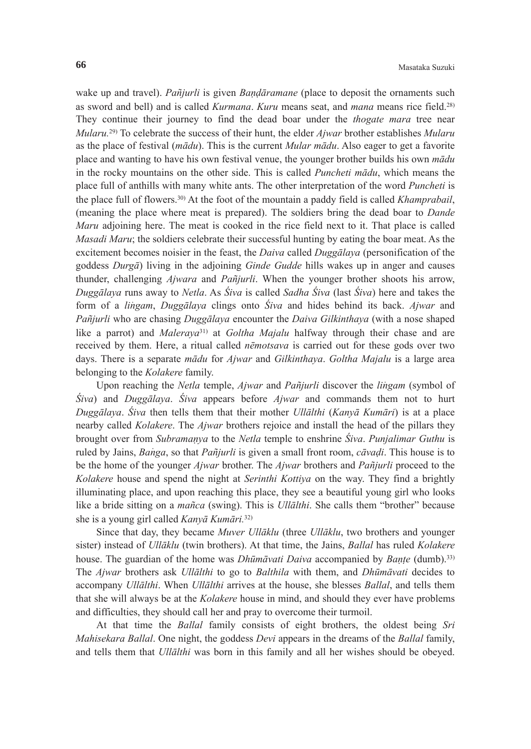wake up and travel). *Pañjurli* is given *Bandāramane* (place to deposit the ornaments such as sword and bell) and is called *Kurmana*. *Kuru* means seat, and *mana* means rice field.28) They continue their journey to find the dead boar under the *thogate mara* tree near *Mularu.*29) To celebrate the success of their hunt, the elder *Ajwar* brother establishes *Mularu*  as the place of festival (*mādu*). This is the current *Mular mādu*. Also eager to get a favorite place and wanting to have his own festival venue, the younger brother builds his own *mādu* in the rocky mountains on the other side. This is called *Puncheti mādu*, which means the place full of anthills with many white ants. The other interpretation of the word *Puncheti* is the place full of flowers.30) At the foot of the mountain a paddy field is called *Khamprabail*, (meaning the place where meat is prepared). The soldiers bring the dead boar to *Dande Maru* adjoining here. The meat is cooked in the rice field next to it. That place is called *Masadi Maru*; the soldiers celebrate their successful hunting by eating the boar meat. As the excitement becomes noisier in the feast, the *Daiva* called *Duggālaya* (personification of the goddess *Durgā*) living in the adjoining *Ginde Gudde* hills wakes up in anger and causes thunder, challenging *Ajwara* and *Pañjurli*. When the younger brother shoots his arrow, *Duggālaya* runs away to *Netla*. As *Śiva* is called *Sadha Śiva* (last *Śiva*) here and takes the form of a *lingam*, *Duggālaya* clings onto *Śiva* and hides behind its back. *Ajwar* and *Pañjurli* who are chasing *Duggālaya* encounter the *Daiva Gilkinthaya* (with a nose shaped like a parrot) and *Maleraya*31) at *Goltha Majalu* halfway through their chase and are received by them. Here, a ritual called *nēmotsava* is carried out for these gods over two days. There is a separate *mādu* for *Ajwar* and *Gilkinthaya*. *Goltha Majalu* is a large area belonging to the *Kolakere* family.

Upon reaching the *Netla* temple, *Ajwar* and *Pañjurli* discover the *lingam* (symbol of *Śiva*) and *Duggālaya*. *Śiva* appears before *Ajwar* and commands them not to hurt *Duggālaya*. *Śiva* then tells them that their mother *Ullālthi* (*Kanyā Kumāri*) is at a place nearby called *Kolakere*. The *Ajwar* brothers rejoice and install the head of the pillars they brought over from *Subramanya* to the *Netla* temple to enshrine *Śiva*. *Punjalimar Guthu* is ruled by Jains, *Banga*, so that *Pañjurli* is given a small front room, *cāvadi*. This house is to be the home of the younger *Ajwar* brother. The *Ajwar* brothers and *Pañjurli* proceed to the *Kolakere* house and spend the night at *Serinthi Kottiya* on the way. They find a brightly illuminating place, and upon reaching this place, they see a beautiful young girl who looks like a bride sitting on a *mañca* (swing). This is *Ullālthi*. She calls them "brother" because she is a young girl called *Kanyā Kumāri.*32)

 Since that day, they became *Muver Ullāklu* (three *Ullāklu*, two brothers and younger sister) instead of *Ullāklu* (twin brothers). At that time, the Jains, *Ballal* has ruled *Kolakere* house. The guardian of the home was *Dhūmāvati Daiva* accompanied by *Bante* (dumb).33) The *Ajwar* brothers ask *Ullālthi* to go to *Balthila* with them, and *Dhūmāvati* decides to accompany *Ullālthi*. When *Ullālthi* arrives at the house, she blesses *Ballal*, and tells them that she will always be at the *Kolakere* house in mind, and should they ever have problems and difficulties, they should call her and pray to overcome their turmoil.

 At that time the *Ballal* family consists of eight brothers, the oldest being *Sri Mahisekara Ballal*. One night, the goddess *Devi* appears in the dreams of the *Ballal* family, and tells them that *Ullālthi* was born in this family and all her wishes should be obeyed.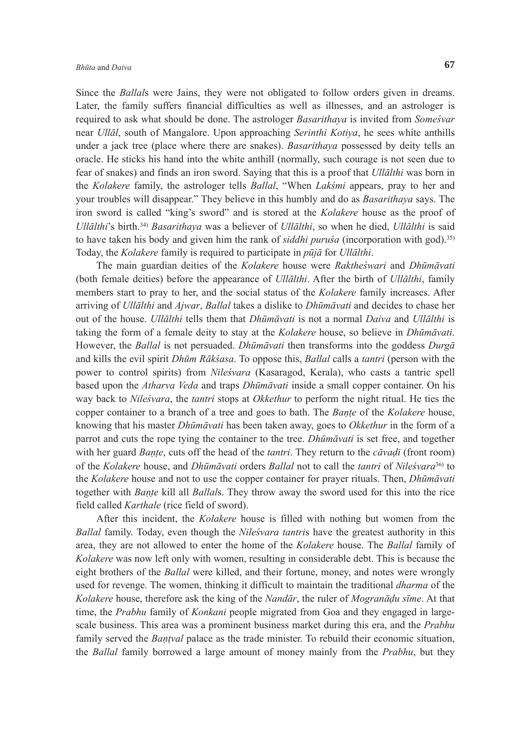Since the *Ballal*s were Jains, they were not obligated to follow orders given in dreams. Later, the family suffers financial difficulties as well as illnesses, and an astrologer is required to ask what should be done. The astrologer *Basarithaya* is invited from *Someśvar* near *Ullāl*, south of Mangalore. Upon approaching *Serinthi Kotiya*, he sees white anthills under a jack tree (place where there are snakes). *Basarithaya* possessed by deity tells an oracle. He sticks his hand into the white anthill (normally, such courage is not seen due to fear of snakes) and finds an iron sword. Saying that this is a proof that *Ullālthi* was born in the *Kolakere* family, the astrologer tells *Ballal*, "When *Lakśmi* appears, pray to her and your troubles will disappear." They believe in this humbly and do as *Basarithaya* says. The iron sword is called "king's sword" and is stored at the *Kolakere* house as the proof of *Ullālthi*'s birth.34) *Basarithaya* was a believer of *Ullālthi*, so when he died, *Ullālthi* is said to have taken his body and given him the rank of *siddhi puruśa* (incorporation with god).35) Today, the *Kolakere* family is required to participate in *pūjā* for *Ullālthi*.

 The main guardian deities of the *Kolakere* house were *Raktheśwari* and *Dhūmāvati* (both female deities) before the appearance of *Ullālthi*. After the birth of *Ullālthi*, family members start to pray to her, and the social status of the *Kolakere* family increases. After arriving of *Ullālthi* and *Ajwar*, *Ballal* takes a dislike to *Dhūmāvati* and decides to chase her out of the house. *Ullālthi* tells them that *Dhūmāvati* is not a normal *Daiva* and *Ullālthi* is taking the form of a female deity to stay at the *Kolakere* house, so believe in *Dhūmāvati*. However, the *Ballal* is not persuaded. *Dhūmāvati* then transforms into the goddess *Durgā* and kills the evil spirit *Dhūm Rākśasa*. To oppose this, *Ballal* calls a *tantri* (person with the power to control spirits) from *Nileśvara* (Kasaragod, Kerala), who casts a tantric spell based upon the *Atharva Veda* and traps *Dhūmāvati* inside a small copper container. On his way back to *Nileśvara*, the *tantri* stops at *Okkethur* to perform the night ritual. He ties the copper container to a branch of a tree and goes to bath. The *Bante* of the *Kolakere* house, knowing that his master *Dhūmāvati* has been taken away, goes to *Okkethur* in the form of a parrot and cuts the rope tying the container to the tree. *Dhūmāvati* is set free, and together with her guard *Bante*, cuts off the head of the *tantri*. They return to the *cāvadi* (front room) of the *Kolakere* house, and *Dhūmāvati* orders *Ballal* not to call the *tantri* of *Nileśvara*36) to the *Kolakere* house and not to use the copper container for prayer rituals. Then, *Dhūmāvati* together with *Bante* kill all *Ballal*s. They throw away the sword used for this into the rice field called *Karthale* (rice field of sword).

 After this incident, the *Kolakere* house is filled with nothing but women from the *Ballal* family. Today, even though the *Nileśvara tantri*s have the greatest authority in this area, they are not allowed to enter the home of the *Kolakere* house. The *Ballal* family of *Kolakere* was now left only with women, resulting in considerable debt. This is because the eight brothers of the *Ballal* were killed, and their fortune, money, and notes were wrongly used for revenge. The women, thinking it difficult to maintain the traditional *dharma* of the *Kolakere* house, therefore ask the king of the *Nandār*, the ruler of *Mogranādu sīme*. At that time, the *Prabhu* family of *Konkani* people migrated from Goa and they engaged in largescale business. This area was a prominent business market during this era, and the *Prabhu* family served the *Bantval* palace as the trade minister. To rebuild their economic situation, the *Ballal* family borrowed a large amount of money mainly from the *Prabhu*, but they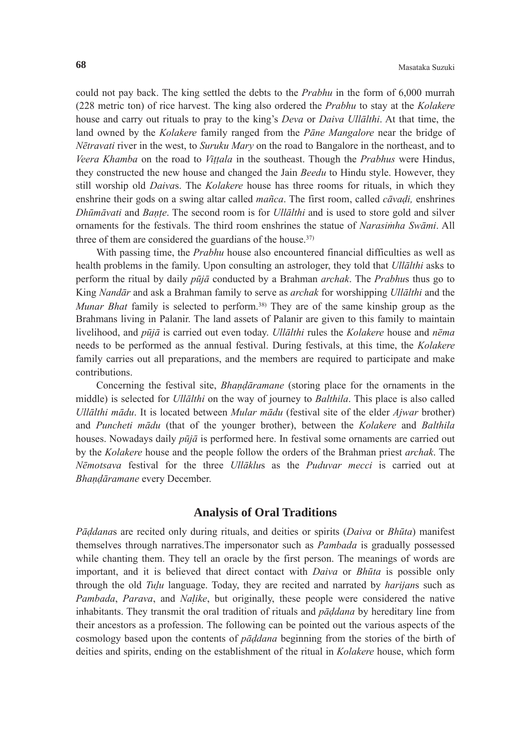could not pay back. The king settled the debts to the *Prabhu* in the form of 6,000 murrah (228 metric ton) of rice harvest. The king also ordered the *Prabhu* to stay at the *Kolakere* house and carry out rituals to pray to the king's *Deva* or *Daiva Ullālthi*. At that time, the land owned by the *Kolakere* family ranged from the *Pāne Mangalore* near the bridge of *Nētravati* river in the west, to *Suruku Mary* on the road to Bangalore in the northeast, and to *Veera Khamba* on the road to *Vittala* in the southeast. Though the *Prabhus* were Hindus, they constructed the new house and changed the Jain *Beedu* to Hindu style. However, they still worship old *Daiva*s. The *Kolakere* house has three rooms for rituals, in which they enshrine their gods on a swing altar called *mañca*. The first room, called *cāvadi,* enshrines *Dhūmāvati* and *Bante*. The second room is for *Ullālthi* and is used to store gold and silver ornaments for the festivals. The third room enshrines the statue of *Narasimha Swāmi*. All three of them are considered the guardians of the house.<sup>37)</sup>

With passing time, the *Prabhu* house also encountered financial difficulties as well as health problems in the family. Upon consulting an astrologer, they told that *Ullālthi* asks to perform the ritual by daily *pūjā* conducted by a Brahman *archak*. The *Prabhu*s thus go to King *Nandār* and ask a Brahman family to serve as *archak* for worshipping *Ullālthi* and the *Munar Bhat* family is selected to perform.38) They are of the same kinship group as the Brahmans living in Palanir. The land assets of Palanir are given to this family to maintain livelihood, and *pūjā* is carried out even today. *Ullālthi* rules the *Kolakere* house and *nēma* needs to be performed as the annual festival. During festivals, at this time, the *Kolakere* family carries out all preparations, and the members are required to participate and make contributions.

 Concerning the festival site, *Bhandāramane* (storing place for the ornaments in the middle) is selected for *Ullālthi* on the way of journey to *Balthila*. This place is also called *Ullālthi mādu*. It is located between *Mular mādu* (festival site of the elder *Ajwar* brother) and *Puncheti mādu* (that of the younger brother), between the *Kolakere* and *Balthila* houses. Nowadays daily *pūjā* is performed here. In festival some ornaments are carried out by the *Kolakere* house and the people follow the orders of the Brahman priest *archak*. The *Nēmotsava* festival for the three *Ullāklu*s as the *Puduvar mecci* is carried out at *Bhandāramane* every December.

# **Analysis of Oral Traditions**

*Pāddana*s are recited only during rituals, and deities or spirits (*Daiva* or *Bhūta*) manifest themselves through narratives.The impersonator such as *Pambada* is gradually possessed while chanting them. They tell an oracle by the first person. The meanings of words are important, and it is believed that direct contact with *Daiva* or *Bhūta* is possible only through the old *Tulu* language. Today, they are recited and narrated by *harijan*s such as *Pambada*, *Parava*, and *Naike*, but originally, these people were considered the native inhabitants. They transmit the oral tradition of rituals and *pāddana* by hereditary line from their ancestors as a profession. The following can be pointed out the various aspects of the cosmology based upon the contents of *pāddana* beginning from the stories of the birth of deities and spirits, ending on the establishment of the ritual in *Kolakere* house, which form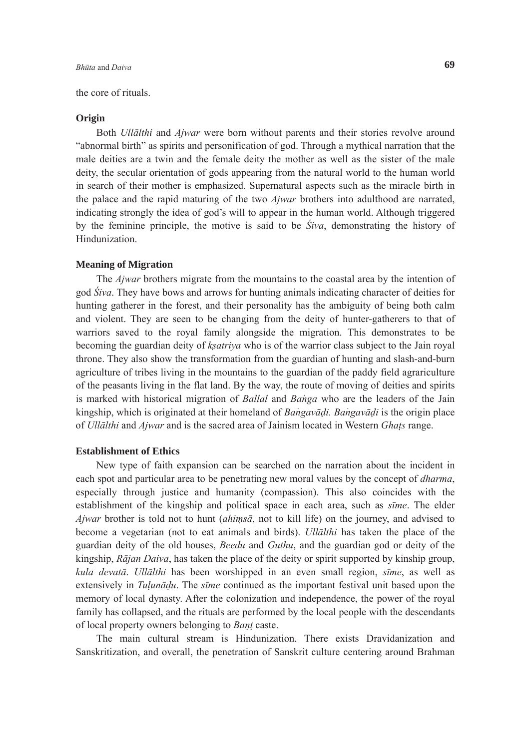#### the core of rituals.

#### **Origin**

 Both *Ullālthi* and *Ajwar* were born without parents and their stories revolve around "abnormal birth" as spirits and personification of god. Through a mythical narration that the male deities are a twin and the female deity the mother as well as the sister of the male deity, the secular orientation of gods appearing from the natural world to the human world in search of their mother is emphasized. Supernatural aspects such as the miracle birth in the palace and the rapid maturing of the two *Ajwar* brothers into adulthood are narrated, indicating strongly the idea of god's will to appear in the human world. Although triggered by the feminine principle, the motive is said to be *Śiva*, demonstrating the history of Hindunization.

# **Meaning of Migration**

 The *Ajwar* brothers migrate from the mountains to the coastal area by the intention of god *Śiva*. They have bows and arrows for hunting animals indicating character of deities for hunting gatherer in the forest, and their personality has the ambiguity of being both calm and violent. They are seen to be changing from the deity of hunter-gatherers to that of warriors saved to the royal family alongside the migration. This demonstrates to be becoming the guardian deity of *ksatriya* who is of the warrior class subject to the Jain royal throne. They also show the transformation from the guardian of hunting and slash-and-burn agriculture of tribes living in the mountains to the guardian of the paddy field agrariculture of the peasants living in the flat land. By the way, the route of moving of deities and spirits is marked with historical migration of *Ballal* and *Banga* who are the leaders of the Jain kingship, which is originated at their homeland of *Bangavadi*. Bangavadi is the origin place of *Ullālthi* and *Ajwar* and is the sacred area of Jainism located in Western *Ghats* range.

# **Establishment of Ethics**

New type of faith expansion can be searched on the narration about the incident in each spot and particular area to be penetrating new moral values by the concept of *dharma*, especially through justice and humanity (compassion). This also coincides with the establishment of the kingship and political space in each area, such as *sīme*. The elder *Ajwar* brother is told not to hunt (*ahimsā*, not to kill life) on the journey, and advised to become a vegetarian (not to eat animals and birds). *Ullālthi* has taken the place of the guardian deity of the old houses, *Beedu* and *Guthu*, and the guardian god or deity of the kingship, *Rājan Daiva*, has taken the place of the deity or spirit supported by kinship group, *kula devatā*. *Ullālthi* has been worshipped in an even small region, *sīme*, as well as extensively in *Tulunādu*. The *sīme* continued as the important festival unit based upon the memory of local dynasty. After the colonization and independence, the power of the royal family has collapsed, and the rituals are performed by the local people with the descendants of local property owners belonging to *Bant* caste.

 The main cultural stream is Hindunization. There exists Dravidanization and Sanskritization, and overall, the penetration of Sanskrit culture centering around Brahman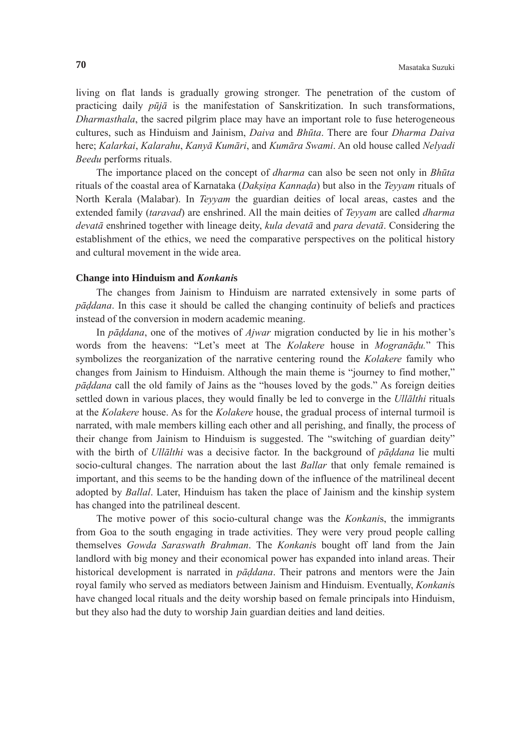living on flat lands is gradually growing stronger. The penetration of the custom of practicing daily *pūjā* is the manifestation of Sanskritization. In such transformations, *Dharmasthala*, the sacred pilgrim place may have an important role to fuse heterogeneous cultures, such as Hinduism and Jainism, *Daiva* and *Bhūta*. There are four *Dharma Daiva* here; *Kalarkai*, *Kalarahu*, *Kanyā Kumāri*, and *Kumāra Swami*. An old house called *Nelyadi Beedu* performs rituals.

 The importance placed on the concept of *dharma* can also be seen not only in *Bhūta* rituals of the coastal area of Karnataka (*Daksina Kannada*) but also in the *Teyyam* rituals of North Kerala (Malabar). In *Teyyam* the guardian deities of local areas, castes and the extended family (*taravad*) are enshrined. All the main deities of *Teyyam* are called *dharma devatā* enshrined together with lineage deity, *kula devatā* and *para devatā*. Considering the establishment of the ethics, we need the comparative perspectives on the political history and cultural movement in the wide area.

# **Change into Hinduism and** *Konkani***s**

The changes from Jainism to Hinduism are narrated extensively in some parts of *pāddana*. In this case it should be called the changing continuity of beliefs and practices instead of the conversion in modern academic meaning.

 In *pāddana*, one of the motives of *Ajwar* migration conducted by lie in his mother's words from the heavens: "Let's meet at The *Kolakere* house in *Mogranādu.*" This symbolizes the reorganization of the narrative centering round the *Kolakere* family who changes from Jainism to Hinduism. Although the main theme is "journey to find mother," *pāddana* call the old family of Jains as the "houses loved by the gods." As foreign deities settled down in various places, they would finally be led to converge in the *Ullālthi* rituals at the *Kolakere* house. As for the *Kolakere* house, the gradual process of internal turmoil is narrated, with male members killing each other and all perishing, and finally, the process of their change from Jainism to Hinduism is suggested. The "switching of guardian deity" with the birth of *Ullālthi* was a decisive factor. In the background of *pāddana* lie multi socio-cultural changes. The narration about the last *Ballar* that only female remained is important, and this seems to be the handing down of the influence of the matrilineal decent adopted by *Ballal*. Later, Hinduism has taken the place of Jainism and the kinship system has changed into the patrilineal descent.

 The motive power of this socio-cultural change was the *Konkani*s, the immigrants from Goa to the south engaging in trade activities. They were very proud people calling themselves *Gowda Saraswath Brahman*. The *Konkani*s bought off land from the Jain landlord with big money and their economical power has expanded into inland areas. Their historical development is narrated in *pāddana*. Their patrons and mentors were the Jain royal family who served as mediators between Jainism and Hinduism. Eventually, *Konkani*s have changed local rituals and the deity worship based on female principals into Hinduism, but they also had the duty to worship Jain guardian deities and land deities.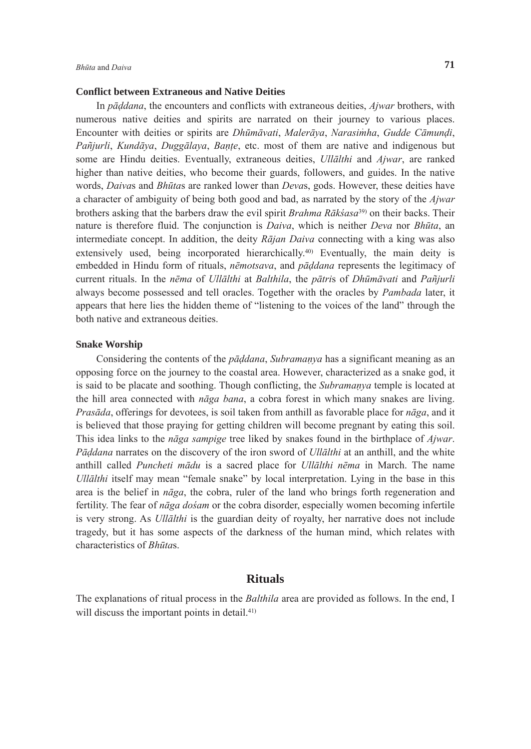#### **Conflict between Extraneous and Native Deities**

 In *pāddana*, the encounters and conflicts with extraneous deities, *Ajwar* brothers, with numerous native deities and spirits are narrated on their journey to various places. Encounter with deities or spirits are *Dhūmāvati*, *Malerāya*, *Narasim*<sup>4</sup> *ha*, *Gudde Cāmundi*, *Pañjurli*, *Kundāya*, *Duggālaya*, *Bante*, etc. most of them are native and indigenous but some are Hindu deities. Eventually, extraneous deities, *Ullālthi* and *Ajwar*, are ranked higher than native deities, who become their guards, followers, and guides. In the native words, *Daiva*s and *Bhūta*s are ranked lower than *Deva*s, gods. However, these deities have a character of ambiguity of being both good and bad, as narrated by the story of the *Ajwar* brothers asking that the barbers draw the evil spirit *Brahma Rākśasa*39) on their backs. Their nature is therefore fluid. The conjunction is *Daiva*, which is neither *Deva* nor *Bhūta*, an intermediate concept. In addition, the deity *Rājan Daiva* connecting with a king was also extensively used, being incorporated hierarchically.<sup>40)</sup> Eventually, the main deity is embedded in Hindu form of rituals, *nēmotsava*, and *pāddana* represents the legitimacy of current rituals. In the *nēma* of *Ullālthi* at *Balthila*, the *pātri*s of *Dhūmāvati* and *Pañjurli* always become possessed and tell oracles. Together with the oracles by *Pambada* later, it appears that here lies the hidden theme of "listening to the voices of the land" through the both native and extraneous deities.

# **Snake Worship**

 Considering the contents of the *pāddana*, *Subramanya* has a significant meaning as an opposing force on the journey to the coastal area. However, characterized as a snake god, it is said to be placate and soothing. Though conflicting, the *Subramanya* temple is located at the hill area connected with *nāga bana*, a cobra forest in which many snakes are living. *Prasāda*, offerings for devotees, is soil taken from anthill as favorable place for *nāga*, and it is believed that those praying for getting children will become pregnant by eating this soil. This idea links to the *nāga sampige* tree liked by snakes found in the birthplace of *Ajwar*. *Pāddana* narrates on the discovery of the iron sword of *Ullālthi* at an anthill, and the white anthill called *Puncheti mādu* is a sacred place for *Ullālthi nēma* in March. The name *Ullālthi* itself may mean "female snake" by local interpretation. Lying in the base in this area is the belief in *nāga*, the cobra, ruler of the land who brings forth regeneration and fertility. The fear of *nāga dośam* or the cobra disorder, especially women becoming infertile is very strong. As *Ullālthi* is the guardian deity of royalty, her narrative does not include tragedy, but it has some aspects of the darkness of the human mind, which relates with characteristics of *Bhūta*s.

# **Rituals**

The explanations of ritual process in the *Balthila* area are provided as follows. In the end, I will discuss the important points in detail.<sup>41)</sup>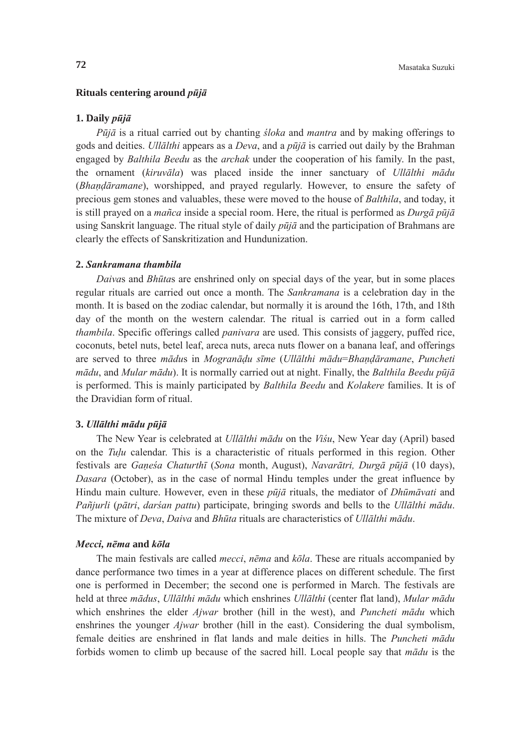#### **Rituals centering around** *pūjā*

#### **1. Daily** *pūjā*

 *Pūjā* is a ritual carried out by chanting *śloka* and *mantra* and by making offerings to gods and deities. *Ullālthi* appears as a *Deva*, and a *pūjā* is carried out daily by the Brahman engaged by *Balthila Beedu* as the *archak* under the cooperation of his family. In the past, the ornament (*kiruvāla*) was placed inside the inner sanctuary of *Ullālthi mādu* (*Bhandāramane*), worshipped, and prayed regularly. However, to ensure the safety of precious gem stones and valuables, these were moved to the house of *Balthila*, and today, it is still prayed on a *mañca* inside a special room. Here, the ritual is performed as *Durgā pūjā* using Sanskrit language. The ritual style of daily *pūjā* and the participation of Brahmans are clearly the effects of Sanskritization and Hundunization.

#### **2.** *Sankramana thambila*

*Daiva*s and *Bhūta*s are enshrined only on special days of the year, but in some places regular rituals are carried out once a month. The *Sankramana* is a celebration day in the month. It is based on the zodiac calendar, but normally it is around the 16th, 17th, and 18th day of the month on the western calendar. The ritual is carried out in a form called *thambila*. Specific offerings called *panivara* are used. This consists of jaggery, puffed rice, coconuts, betel nuts, betel leaf, areca nuts, areca nuts flower on a banana leaf, and offerings are served to three *mādu*s in *Mogranādu sīme* (*Ullālthi mādu*=*Bhandāramane*, *Puncheti mādu*, and *Mular mādu*). It is normally carried out at night. Finally, the *Balthila Beedu pūjā* is performed. This is mainly participated by *Balthila Beedu* and *Kolakere* families. It is of the Dravidian form of ritual.

# **3.** *Ullālthi mādu pūjā*

The New Year is celebrated at *Ullālthi mādu* on the *Viśu*, New Year day (April) based on the *Tulu* calendar. This is a characteristic of rituals performed in this region. Other festivals are *Ganeśa Chaturthī* (*Sona* month, August), *Navarātri, Durgā pūjā* (10 days), *Dasara* (October), as in the case of normal Hindu temples under the great influence by Hindu main culture. However, even in these *pūjā* rituals, the mediator of *Dhūmāvati* and *Pañjurli* (*pātri*, *darśan pattu*) participate, bringing swords and bells to the *Ullālthi mādu*. The mixture of *Deva*, *Daiva* and *Bhūta* rituals are characteristics of *Ullālthi mādu*.

# *Mecci, nēma* **and** *kōla*

The main festivals are called *mecci*, *nēma* and *kōla*. These are rituals accompanied by dance performance two times in a year at difference places on different schedule. The first one is performed in December; the second one is performed in March. The festivals are held at three *mādus*, *Ullālthi mādu* which enshrines *Ullālthi* (center flat land), *Mular mādu* which enshrines the elder *Ajwar* brother (hill in the west), and *Puncheti mādu* which enshrines the younger *Ajwar* brother (hill in the east). Considering the dual symbolism, female deities are enshrined in flat lands and male deities in hills. The *Puncheti mādu* forbids women to climb up because of the sacred hill. Local people say that *mādu* is the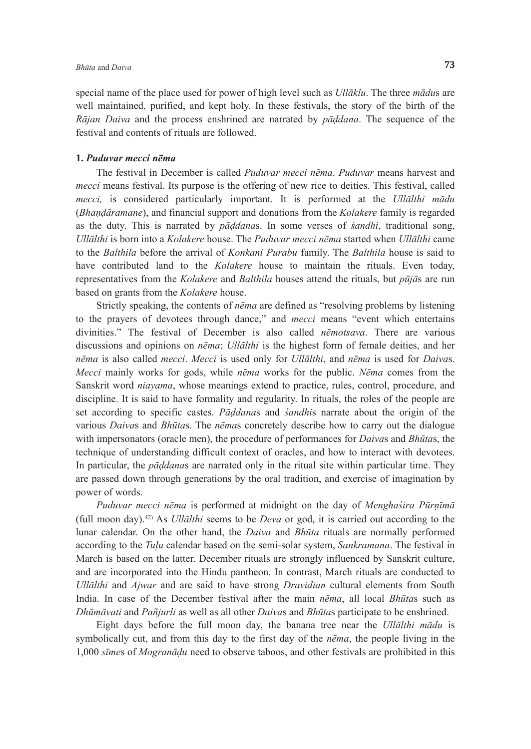special name of the place used for power of high level such as *Ullāklu*. The three *mādu*s are well maintained, purified, and kept holy. In these festivals, the story of the birth of the *Rājan Daiva* and the process enshrined are narrated by *pāddana*. The sequence of the festival and contents of rituals are followed.

# **1.** *Puduvar mecci nēma*

The festival in December is called *Puduvar mecci nēma*. *Puduvar* means harvest and *mecci* means festival. Its purpose is the offering of new rice to deities. This festival, called *mecci,* is considered particularly important. It is performed at the *Ullālthi mādu* (*Bhandāramane*), and financial support and donations from the *Kolakere* family is regarded as the duty. This is narrated by *pāddana*s. In some verses of *śandhi*, traditional song, *Ullālthi* is born into a *Kolakere* house. The *Puduvar mecci nēma* started when *Ullālthi* came to the *Balthila* before the arrival of *Konkani Purabu* family. The *Balthila* house is said to have contributed land to the *Kolakere* house to maintain the rituals. Even today, representatives from the *Kolakere* and *Balthila* houses attend the rituals, but *pūjā*s are run based on grants from the *Kolakere* house.

 Strictly speaking, the contents of *nēma* are defined as "resolving problems by listening to the prayers of devotees through dance," and *mecci* means "event which entertains divinities." The festival of December is also called *nēmotsava*. There are various discussions and opinions on *nēma*; *Ullālthi* is the highest form of female deities, and her *nēma* is also called *mecci*. *Mecci* is used only for *Ullālthi*, and *nēma* is used for *Daiva*s. *Mecci* mainly works for gods, while *nēma* works for the public. *Nēma* comes from the Sanskrit word *niayama*, whose meanings extend to practice, rules, control, procedure, and discipline. It is said to have formality and regularity. In rituals, the roles of the people are set according to specific castes. *Pāddana*s and *śandhi*s narrate about the origin of the various *Daiva*s and *Bhūta*s. The *nēma*s concretely describe how to carry out the dialogue with impersonators (oracle men), the procedure of performances for *Daiva*s and *Bhūta*s, the technique of understanding difficult context of oracles, and how to interact with devotees. In particular, the *pāddana*s are narrated only in the ritual site within particular time. They are passed down through generations by the oral tradition, and exercise of imagination by power of words.

*Puduvar mecci nēma* is performed at midnight on the day of *Menghaśira Pūrnīmā* (full moon day).42) As *Ullālthi* seems to be *Deva* or god, it is carried out according to the lunar calendar. On the other hand, the *Daiva* and *Bhūta* rituals are normally performed according to the *Tuu* calendar based on the semi-solar system, *Sankramana*. The festival in March is based on the latter. December rituals are strongly influenced by Sanskrit culture, and are incorporated into the Hindu pantheon. In contrast, March rituals are conducted to *Ullālthi* and *Ajwar* and are said to have strong *Dravidian* cultural elements from South India. In case of the December festival after the main *nēma*, all local *Bhūta*s such as *Dhūmāvati* and *Pañjurli* as well as all other *Daiva*s and *Bhūta*s participate to be enshrined.

 Eight days before the full moon day, the banana tree near the *Ullālthi mādu* is symbolically cut, and from this day to the first day of the *nēma*, the people living in the 1,000 *sīme*s of *Mogranādu* need to observe taboos, and other festivals are prohibited in this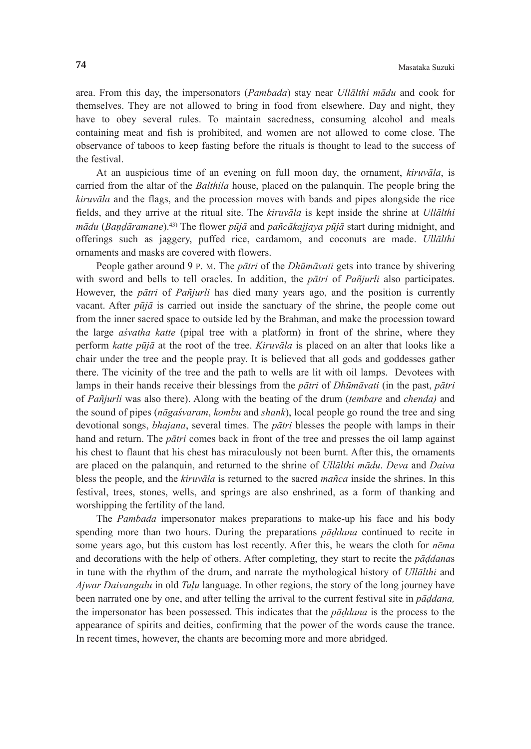area. From this day, the impersonators (*Pambada*) stay near *Ullālthi mādu* and cook for themselves. They are not allowed to bring in food from elsewhere. Day and night, they have to obey several rules. To maintain sacredness, consuming alcohol and meals containing meat and fish is prohibited, and women are not allowed to come close. The observance of taboos to keep fasting before the rituals is thought to lead to the success of the festival.

 At an auspicious time of an evening on full moon day, the ornament, *kiruvāla*, is carried from the altar of the *Balthila* house, placed on the palanquin. The people bring the *kiruvāla* and the flags, and the procession moves with bands and pipes alongside the rice fields, and they arrive at the ritual site. The *kiruvāla* is kept inside the shrine at *Ullālthi mādu* (*Bandāramane*).43) The flower *pūjā* and *pañcākajjaya pūjā* start during midnight, and offerings such as jaggery, puffed rice, cardamom, and coconuts are made. *Ullālthi* ornaments and masks are covered with flowers.

 People gather around 9 P. M. The *pātri* of the *Dhūmāvati* gets into trance by shivering with sword and bells to tell oracles. In addition, the *pātri* of *Pañjurli* also participates. However, the *pātri* of *Pañjurli* has died many years ago, and the position is currently vacant. After *pūjā* is carried out inside the sanctuary of the shrine, the people come out from the inner sacred space to outside led by the Brahman, and make the procession toward the large *aśvatha katte* (pipal tree with a platform) in front of the shrine, where they perform *katte pūjā* at the root of the tree. *Kiruvāla* is placed on an alter that looks like a chair under the tree and the people pray. It is believed that all gods and goddesses gather there. The vicinity of the tree and the path to wells are lit with oil lamps. Devotees with lamps in their hands receive their blessings from the *pātri* of *Dhūmāvati* (in the past, *pātri* of *Pañjurli* was also there). Along with the beating of the drum (*tembare* and *chenda)* and the sound of pipes (*nāgaśvaram*, *kombu* and *shank*), local people go round the tree and sing devotional songs, *bhajana*, several times. The *pātri* blesses the people with lamps in their hand and return. The *pātri* comes back in front of the tree and presses the oil lamp against his chest to flaunt that his chest has miraculously not been burnt. After this, the ornaments are placed on the palanquin, and returned to the shrine of *Ullālthi mādu*. *Deva* and *Daiva* bless the people, and the *kiruvāla* is returned to the sacred *mañca* inside the shrines. In this festival, trees, stones, wells, and springs are also enshrined, as a form of thanking and worshipping the fertility of the land.

 The *Pambada* impersonator makes preparations to make-up his face and his body spending more than two hours. During the preparations *pāddana* continued to recite in some years ago, but this custom has lost recently. After this, he wears the cloth for *nēma* and decorations with the help of others. After completing, they start to recite the *pāddana*s in tune with the rhythm of the drum, and narrate the mythological history of *Ullālthi* and *Ajwar Daivangalu* in old *Tuu* language. In other regions, the story of the long journey have been narrated one by one, and after telling the arrival to the current festival site in *pāddana,* the impersonator has been possessed. This indicates that the *pāddana* is the process to the appearance of spirits and deities, confirming that the power of the words cause the trance. In recent times, however, the chants are becoming more and more abridged.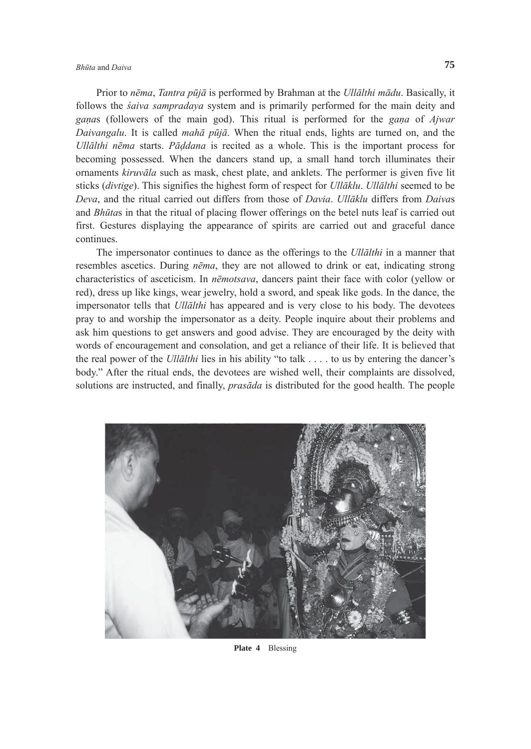# *Bhūta* and *Daiva* **75**

 Prior to *nēma*, *Tantra pūjā* is performed by Brahman at the *Ullālthi mādu*. Basically, it follows the *śaiva sampradaya* system and is primarily performed for the main deity and *gana*s (followers of the main god). This ritual is performed for the *gana* of *Ajwar Daivangalu*. It is called *mahā pūjā*. When the ritual ends, lights are turned on, and the *Ullālthi nēma* starts. *Pāddana* is recited as a whole. This is the important process for becoming possessed. When the dancers stand up, a small hand torch illuminates their ornaments *kiruvāla* such as mask, chest plate, and anklets. The performer is given five lit sticks (*divtige*). This signifies the highest form of respect for *Ullāklu*. *Ullālthi* seemed to be *Deva*, and the ritual carried out differs from those of *Davia*. *Ullāklu* differs from *Daiva*s and *Bhūta*s in that the ritual of placing flower offerings on the betel nuts leaf is carried out first. Gestures displaying the appearance of spirits are carried out and graceful dance continues.

 The impersonator continues to dance as the offerings to the *Ullālthi* in a manner that resembles ascetics. During *nēma*, they are not allowed to drink or eat, indicating strong characteristics of asceticism. In *nēmotsava*, dancers paint their face with color (yellow or red), dress up like kings, wear jewelry, hold a sword, and speak like gods. In the dance, the impersonator tells that *Ullālthi* has appeared and is very close to his body. The devotees pray to and worship the impersonator as a deity. People inquire about their problems and ask him questions to get answers and good advise. They are encouraged by the deity with words of encouragement and consolation, and get a reliance of their life. It is believed that the real power of the *Ullālthi* lies in his ability "to talk . . . . to us by entering the dancer's body." After the ritual ends, the devotees are wished well, their complaints are dissolved, solutions are instructed, and finally, *prasāda* is distributed for the good health. The people



**Plate 4** Blessing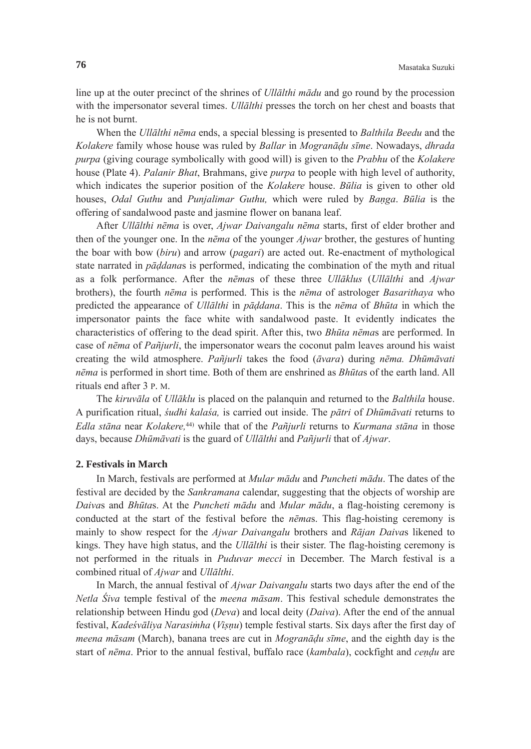line up at the outer precinct of the shrines of *Ullālthi mādu* and go round by the procession with the impersonator several times. *Ullālthi* presses the torch on her chest and boasts that he is not burnt.

 When the *Ullālthi nēma* ends, a special blessing is presented to *Balthila Beedu* and the *Kolakere* family whose house was ruled by *Ballar* in *Mogranādu sīme*. Nowadays, *dhrada purpa* (giving courage symbolically with good will) is given to the *Prabhu* of the *Kolakere* house (Plate 4). *Palanir Bhat*, Brahmans, give *purpa* to people with high level of authority, which indicates the superior position of the *Kolakere* house. *Būlia* is given to other old houses, *Odal Guthu* and *Punjalimar Guthu,* which were ruled by *Banga*. *Būlia* is the offering of sandalwood paste and jasmine flower on banana leaf.

 After *Ullālthi nēma* is over, *Ajwar Daivangalu nēma* starts, first of elder brother and then of the younger one. In the *nēma* of the younger *Ajwar* brother, the gestures of hunting the boar with bow (*biru*) and arrow (*pagari*) are acted out. Re-enactment of mythological state narrated in *pāddana*s is performed, indicating the combination of the myth and ritual as a folk performance. After the *nēma*s of these three *Ullāklus* (*Ullālthi* and *Ajwar* brothers), the fourth *nēma* is performed. This is the *nēma* of astrologer *Basarithaya* who predicted the appearance of *Ullālthi* in *pāddana*. This is the *nēma* of *Bhūta* in which the impersonator paints the face white with sandalwood paste. It evidently indicates the characteristics of offering to the dead spirit. After this, two *Bhūta nēma*s are performed. In case of *nēma* of *Pañjurli*, the impersonator wears the coconut palm leaves around his waist creating the wild atmosphere. *Pañjurli* takes the food (*āvara*) during *nēma. Dhūmāvati nēma* is performed in short time. Both of them are enshrined as *Bhūta*s of the earth land. All rituals end after 3 P. M.

 The *kiruvāla* of *Ullāklu* is placed on the palanquin and returned to the *Balthila* house. A purification ritual, *śudhi kalaśa,* is carried out inside. The *pātri* of *Dhūmāvati* returns to *Edla stāna* near *Kolakere,*44) while that of the *Pañjurli* returns to *Kurmana stāna* in those days, because *Dhūmāvati* is the guard of *Ullālthi* and *Pañjurli* that of *Ajwar*.

#### **2. Festivals in March**

In March, festivals are performed at *Mular mādu* and *Puncheti mādu*. The dates of the festival are decided by the *Sankramana* calendar, suggesting that the objects of worship are *Daiva*s and *Bhūta*s. At the *Puncheti mādu* and *Mular mādu*, a flag-hoisting ceremony is conducted at the start of the festival before the *nēma*s. This flag-hoisting ceremony is mainly to show respect for the *Ajwar Daivangalu* brothers and *Rājan Daiva*s likened to kings. They have high status, and the *Ullālthi* is their sister. The flag-hoisting ceremony is not performed in the rituals in *Puduvar mecci* in December. The March festival is a combined ritual of *Ajwar* and *Ullālthi*.

 In March, the annual festival of *Ajwar Daivangalu* starts two days after the end of the *Netla Śiva* temple festival of the *meena māsam*. This festival schedule demonstrates the relationship between Hindu god (*Deva*) and local deity (*Daiva*). After the end of the annual festival, *Kadeśvāliya Narasim*<sup>4</sup> *ha* (*Visnu*) temple festival starts. Six days after the first day of *meena māsam* (March), banana trees are cut in *Mogranādu sīme*, and the eighth day is the start of *nēma*. Prior to the annual festival, buffalo race (*kambala*), cockfight and *cendu* are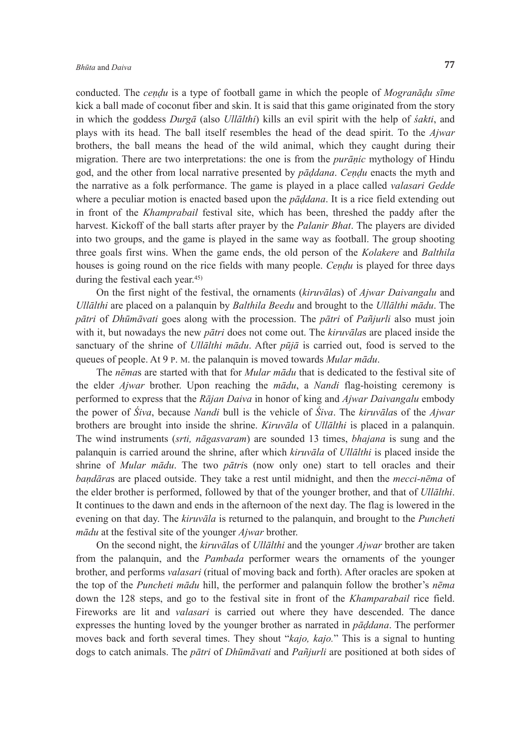conducted. The *cendu* is a type of football game in which the people of *Mogranādu sīme* kick a ball made of coconut fiber and skin. It is said that this game originated from the story in which the goddess *Durgā* (also *Ullālthi*) kills an evil spirit with the help of *śakti*, and plays with its head. The ball itself resembles the head of the dead spirit. To the *Ajwar* brothers, the ball means the head of the wild animal, which they caught during their migration. There are two interpretations: the one is from the *purānic* mythology of Hindu god, and the other from local narrative presented by *pāddana*. *Cendu* enacts the myth and the narrative as a folk performance. The game is played in a place called *valasari Gedde* where a peculiar motion is enacted based upon the *pāddana*. It is a rice field extending out in front of the *Khamprabail* festival site, which has been, threshed the paddy after the harvest. Kickoff of the ball starts after prayer by the *Palanir Bhat*. The players are divided into two groups, and the game is played in the same way as football. The group shooting three goals first wins. When the game ends, the old person of the *Kolakere* and *Balthila* houses is going round on the rice fields with many people. *Cendu* is played for three days during the festival each year.45)

 On the first night of the festival, the ornaments (*kiruvāla*s) of *Ajwar Daivangalu* and *Ullālthi* are placed on a palanquin by *Balthila Beedu* and brought to the *Ullālthi mādu*. The *pātri* of *Dhūmāvati* goes along with the procession. The *pātri* of *Pañjurli* also must join with it, but nowadays the new *pātri* does not come out. The *kiruvāla*s are placed inside the sanctuary of the shrine of *Ullālthi mādu*. After *pūjā* is carried out, food is served to the queues of people. At 9 P. M. the palanquin is moved towards *Mular mādu*.

 The *nēma*s are started with that for *Mular mādu* that is dedicated to the festival site of the elder *Ajwar* brother. Upon reaching the *mādu*, a *Nandi* flag-hoisting ceremony is performed to express that the *Rājan Daiva* in honor of king and *Ajwar Daivangalu* embody the power of *Śiva*, because *Nandi* bull is the vehicle of *Śiva*. The *kiruvāla*s of the *Ajwar* brothers are brought into inside the shrine. *Kiruvāla* of *Ullālthi* is placed in a palanquin. The wind instruments (*srti, nāgasvaram*) are sounded 13 times, *bhajana* is sung and the palanquin is carried around the shrine, after which *kiruvāla* of *Ullālthi* is placed inside the shrine of *Mular mādu*. The two *pātri*s (now only one) start to tell oracles and their *bandāra*s are placed outside. They take a rest until midnight, and then the *mecci-nēma* of the elder brother is performed, followed by that of the younger brother, and that of *Ullālthi*. It continues to the dawn and ends in the afternoon of the next day. The flag is lowered in the evening on that day. The *kiruvāla* is returned to the palanquin, and brought to the *Puncheti mādu* at the festival site of the younger *Ajwar* brother.

 On the second night, the *kiruvāla*s of *Ullālthi* and the younger *Ajwar* brother are taken from the palanquin, and the *Pambada* performer wears the ornaments of the younger brother, and performs *valasari* (ritual of moving back and forth). After oracles are spoken at the top of the *Puncheti mādu* hill, the performer and palanquin follow the brother's *nēma* down the 128 steps, and go to the festival site in front of the *Khamparabail* rice field. Fireworks are lit and *valasari* is carried out where they have descended. The dance expresses the hunting loved by the younger brother as narrated in *pāddana*. The performer moves back and forth several times. They shout "*kajo, kajo.*" This is a signal to hunting dogs to catch animals. The *pātri* of *Dhūmāvati* and *Pañjurli* are positioned at both sides of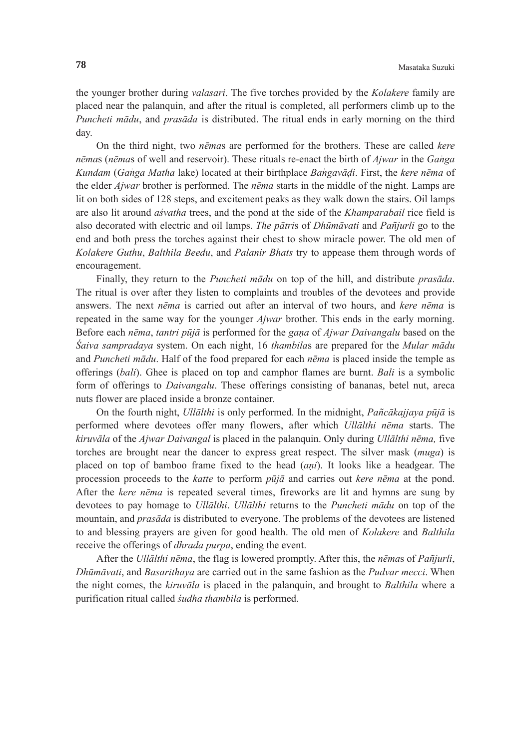the younger brother during *valasari*. The five torches provided by the *Kolakere* family are placed near the palanquin, and after the ritual is completed, all performers climb up to the *Puncheti mādu*, and *prasāda* is distributed. The ritual ends in early morning on the third day.

 On the third night, two *nēma*s are performed for the brothers. These are called *kere nēmas* (*nēmas* of well and reservoir). These rituals re-enact the birth of *Ajwar* in the *Ganga Kundam* (*Ganga Matha* lake) located at their birthplace *Bangavāḍi*. First, the *kere nēma* of the elder *Ajwar* brother is performed. The *nēma* starts in the middle of the night. Lamps are lit on both sides of 128 steps, and excitement peaks as they walk down the stairs. Oil lamps are also lit around *aśvatha* trees, and the pond at the side of the *Khamparabail* rice field is also decorated with electric and oil lamps. *The pātri*s of *Dhūmāvati* and *Pañjurli* go to the end and both press the torches against their chest to show miracle power. The old men of *Kolakere Guthu*, *Balthila Beedu*, and *Palanir Bhats* try to appease them through words of encouragement.

 Finally, they return to the *Puncheti mādu* on top of the hill, and distribute *prasāda*. The ritual is over after they listen to complaints and troubles of the devotees and provide answers. The next *nēma* is carried out after an interval of two hours, and *kere nēma* is repeated in the same way for the younger *Ajwar* brother. This ends in the early morning. Before each *nēma*, *tantri pūjā* is performed for the *gana* of *Ajwar Daivangalu* based on the *Śaiva sampradaya* system. On each night, 16 *thambila*s are prepared for the *Mular mādu* and *Puncheti mādu*. Half of the food prepared for each *nēma* is placed inside the temple as offerings (*bali*). Ghee is placed on top and camphor flames are burnt. *Bali* is a symbolic form of offerings to *Daivangalu*. These offerings consisting of bananas, betel nut, areca nuts flower are placed inside a bronze container.

 On the fourth night, *Ullālthi* is only performed. In the midnight, *Pañcākajjaya pūjā* is performed where devotees offer many flowers, after which *Ullālthi nēma* starts. The *kiruvāla* of the *Ajwar Daivangal* is placed in the palanquin. Only during *Ullālthi nēma,* five torches are brought near the dancer to express great respect. The silver mask (*muga*) is placed on top of bamboo frame fixed to the head (*ani*). It looks like a headgear. The procession proceeds to the *katte* to perform *pūjā* and carries out *kere nēma* at the pond. After the *kere nēma* is repeated several times, fireworks are lit and hymns are sung by devotees to pay homage to *Ullālthi*. *Ullālthi* returns to the *Puncheti mādu* on top of the mountain, and *prasāda* is distributed to everyone. The problems of the devotees are listened to and blessing prayers are given for good health. The old men of *Kolakere* and *Balthila* receive the offerings of *dhrada purpa*, ending the event.

 After the *Ullālthi nēma*, the flag is lowered promptly. After this, the *nēma*s of *Pañjurli*, *Dhūmāvati*, and *Basarithaya* are carried out in the same fashion as the *Pudvar mecci*. When the night comes, the *kiruvāla* is placed in the palanquin, and brought to *Balthila* where a purification ritual called *śudha thambila* is performed.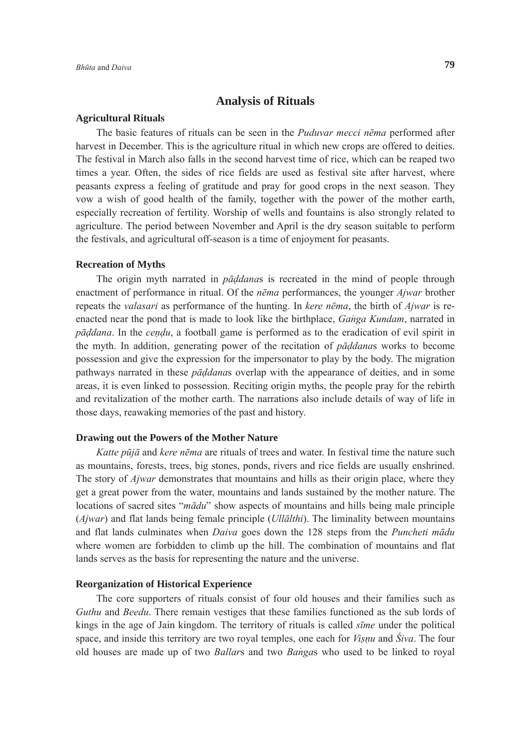# **Analysis of Rituals**

#### **Agricultural Rituals**

 The basic features of rituals can be seen in the *Puduvar mecci nēma* performed after harvest in December. This is the agriculture ritual in which new crops are offered to deities. The festival in March also falls in the second harvest time of rice, which can be reaped two times a year. Often, the sides of rice fields are used as festival site after harvest, where peasants express a feeling of gratitude and pray for good crops in the next season. They vow a wish of good health of the family, together with the power of the mother earth, especially recreation of fertility. Worship of wells and fountains is also strongly related to agriculture. The period between November and April is the dry season suitable to perform the festivals, and agricultural off-season is a time of enjoyment for peasants.

### **Recreation of Myths**

 The origin myth narrated in *pāddana*s is recreated in the mind of people through enactment of performance in ritual. Of the *nēma* performances, the younger *Ajwar* brother repeats the *valasari* as performance of the hunting. In *kere nēma*, the birth of *Ajwar* is reenacted near the pond that is made to look like the birthplace, *Ganga Kundam*, narrated in *pāddana*. In the *cendu*, a football game is performed as to the eradication of evil spirit in the myth. In addition, generating power of the recitation of *pāddana*s works to become possession and give the expression for the impersonator to play by the body. The migration pathways narrated in these *pāddana*s overlap with the appearance of deities, and in some areas, it is even linked to possession. Reciting origin myths, the people pray for the rebirth and revitalization of the mother earth. The narrations also include details of way of life in those days, reawaking memories of the past and history.

### **Drawing out the Powers of the Mother Nature**

 *Katte pūjā* and *kere nēma* are rituals of trees and water. In festival time the nature such as mountains, forests, trees, big stones, ponds, rivers and rice fields are usually enshrined. The story of *Ajwar* demonstrates that mountains and hills as their origin place, where they get a great power from the water, mountains and lands sustained by the mother nature. The locations of sacred sites "*mādu*" show aspects of mountains and hills being male principle (*Ajwar*) and flat lands being female principle (*Ullālthi*). The liminality between mountains and flat lands culminates when *Daiva* goes down the 128 steps from the *Puncheti mādu* where women are forbidden to climb up the hill. The combination of mountains and flat lands serves as the basis for representing the nature and the universe.

# **Reorganization of Historical Experience**

 The core supporters of rituals consist of four old houses and their families such as *Guthu* and *Beedu*. There remain vestiges that these families functioned as the sub lords of kings in the age of Jain kingdom. The territory of rituals is called *sīme* under the political space, and inside this territory are two royal temples, one each for *Visnu* and *Śiva*. The four old houses are made up of two *Ballars* and two *Bangas* who used to be linked to royal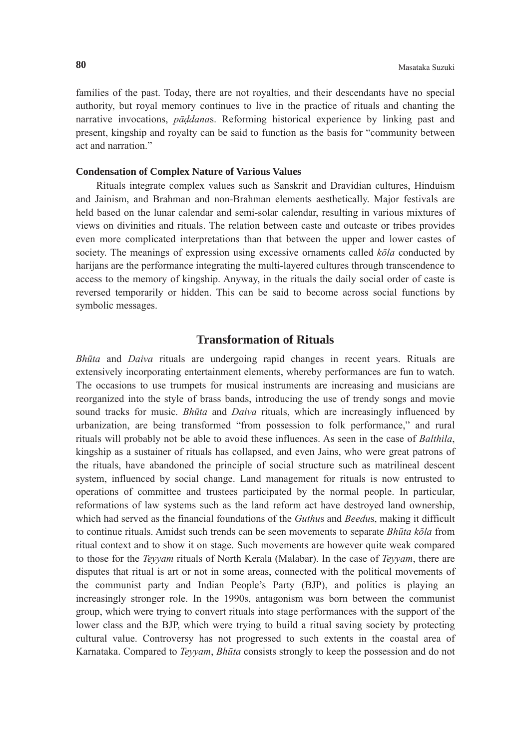families of the past. Today, there are not royalties, and their descendants have no special authority, but royal memory continues to live in the practice of rituals and chanting the narrative invocations, *pāddana*s. Reforming historical experience by linking past and present, kingship and royalty can be said to function as the basis for "community between act and narration"

# **Condensation of Complex Nature of Various Values**

 Rituals integrate complex values such as Sanskrit and Dravidian cultures, Hinduism and Jainism, and Brahman and non-Brahman elements aesthetically. Major festivals are held based on the lunar calendar and semi-solar calendar, resulting in various mixtures of views on divinities and rituals. The relation between caste and outcaste or tribes provides even more complicated interpretations than that between the upper and lower castes of society. The meanings of expression using excessive ornaments called *kōla* conducted by harijans are the performance integrating the multi-layered cultures through transcendence to access to the memory of kingship. Anyway, in the rituals the daily social order of caste is reversed temporarily or hidden. This can be said to become across social functions by symbolic messages.

# **Transformation of Rituals**

*Bhūta* and *Daiva* rituals are undergoing rapid changes in recent years. Rituals are extensively incorporating entertainment elements, whereby performances are fun to watch. The occasions to use trumpets for musical instruments are increasing and musicians are reorganized into the style of brass bands, introducing the use of trendy songs and movie sound tracks for music. *Bhūta* and *Daiva* rituals, which are increasingly influenced by urbanization, are being transformed "from possession to folk performance," and rural rituals will probably not be able to avoid these influences. As seen in the case of *Balthila*, kingship as a sustainer of rituals has collapsed, and even Jains, who were great patrons of the rituals, have abandoned the principle of social structure such as matrilineal descent system, influenced by social change. Land management for rituals is now entrusted to operations of committee and trustees participated by the normal people. In particular, reformations of law systems such as the land reform act have destroyed land ownership, which had served as the financial foundations of the *Guthu*s and *Beedu*s, making it difficult to continue rituals. Amidst such trends can be seen movements to separate *Bhūta kōla* from ritual context and to show it on stage. Such movements are however quite weak compared to those for the *Teyyam* rituals of North Kerala (Malabar). In the case of *Teyyam*, there are disputes that ritual is art or not in some areas, connected with the political movements of the communist party and Indian People's Party (BJP), and politics is playing an increasingly stronger role. In the 1990s, antagonism was born between the communist group, which were trying to convert rituals into stage performances with the support of the lower class and the BJP, which were trying to build a ritual saving society by protecting cultural value. Controversy has not progressed to such extents in the coastal area of Karnataka. Compared to *Teyyam*, *Bhūta* consists strongly to keep the possession and do not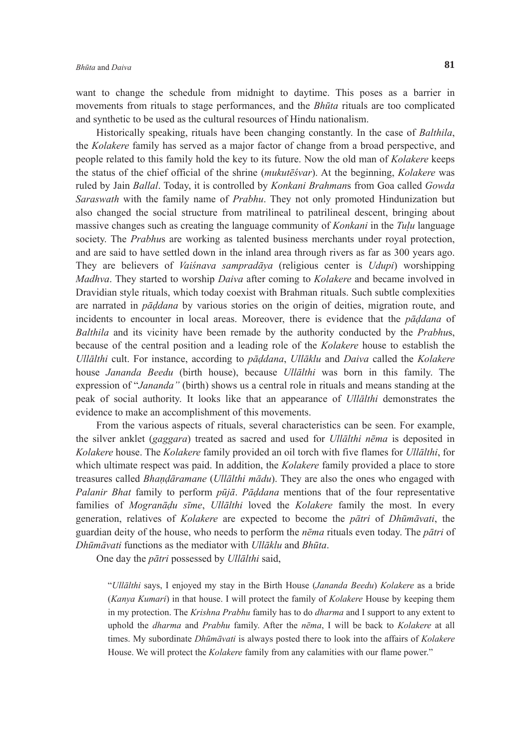want to change the schedule from midnight to daytime. This poses as a barrier in movements from rituals to stage performances, and the *Bhūta* rituals are too complicated and synthetic to be used as the cultural resources of Hindu nationalism.

 Historically speaking, rituals have been changing constantly. In the case of *Balthila*, the *Kolakere* family has served as a major factor of change from a broad perspective, and people related to this family hold the key to its future. Now the old man of *Kolakere* keeps the status of the chief official of the shrine (*mukutēśvar*). At the beginning, *Kolakere* was ruled by Jain *Ballal*. Today, it is controlled by *Konkani Brahman*s from Goa called *Gowda Saraswath* with the family name of *Prabhu*. They not only promoted Hindunization but also changed the social structure from matrilineal to patrilineal descent, bringing about massive changes such as creating the language community of *Konkani* in the *Tuu* language society. The *Prabhu*s are working as talented business merchants under royal protection, and are said to have settled down in the inland area through rivers as far as 300 years ago. They are believers of *Vaiśnava sampradāya* (religious center is *Udupi*) worshipping *Madhva*. They started to worship *Daiva* after coming to *Kolakere* and became involved in Dravidian style rituals, which today coexist with Brahman rituals. Such subtle complexities are narrated in *pāddana* by various stories on the origin of deities, migration route, and incidents to encounter in local areas. Moreover, there is evidence that the *pāddana* of *Balthila* and its vicinity have been remade by the authority conducted by the *Prabhu*s, because of the central position and a leading role of the *Kolakere* house to establish the *Ullālthi* cult. For instance, according to *pāddana*, *Ullāklu* and *Daiva* called the *Kolakere* house *Jananda Beedu* (birth house), because *Ullālthi* was born in this family. The expression of "*Jananda"* (birth) shows us a central role in rituals and means standing at the peak of social authority. It looks like that an appearance of *Ullālthi* demonstrates the evidence to make an accomplishment of this movements.

 From the various aspects of rituals, several characteristics can be seen. For example, the silver anklet (*gaggara*) treated as sacred and used for *Ullālthi nēma* is deposited in *Kolakere* house. The *Kolakere* family provided an oil torch with five flames for *Ullālthi*, for which ultimate respect was paid. In addition, the *Kolakere* family provided a place to store treasures called *Bhandāramane* (*Ullālthi mādu*). They are also the ones who engaged with *Palanir Bhat* family to perform *pūjā*. *Pāddana* mentions that of the four representative families of *Mogranādu sīme*, *Ullālthi* loved the *Kolakere* family the most. In every generation, relatives of *Kolakere* are expected to become the *pātri* of *Dhūmāvati*, the guardian deity of the house, who needs to perform the *nēma* rituals even today. The *pātri* of *Dhūmāvati* functions as the mediator with *Ullāklu* and *Bhūta*.

One day the *pātri* possessed by *Ullālthi* said,

"*Ullālthi* says, I enjoyed my stay in the Birth House (*Jananda Beedu*) *Kolakere* as a bride (*Kanya Kumari*) in that house. I will protect the family of *Kolakere* House by keeping them in my protection. The *Krishna Prabhu* family has to do *dharma* and I support to any extent to uphold the *dharma* and *Prabhu* family. After the *nēma*, I will be back to *Kolakere* at all times. My subordinate *Dhūmāvati* is always posted there to look into the affairs of *Kolakere* House. We will protect the *Kolakere* family from any calamities with our flame power."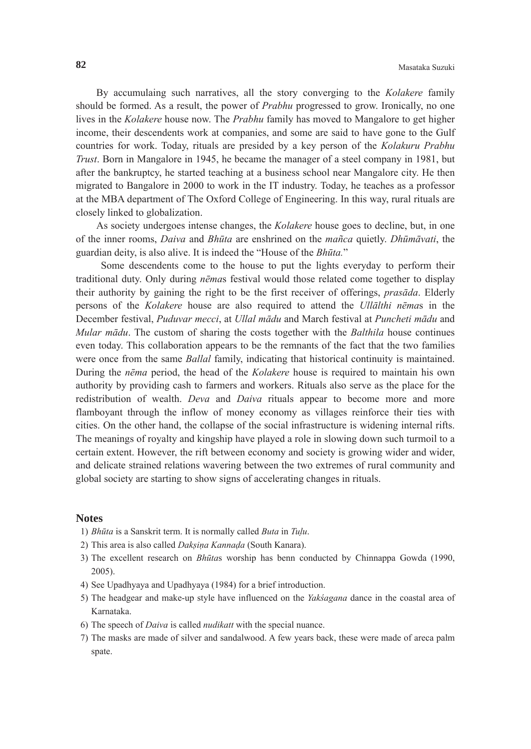By accumulaing such narratives, all the story converging to the *Kolakere* family should be formed. As a result, the power of *Prabhu* progressed to grow. Ironically, no one lives in the *Kolakere* house now. The *Prabhu* family has moved to Mangalore to get higher income, their descendents work at companies, and some are said to have gone to the Gulf countries for work. Today, rituals are presided by a key person of the *Kolakuru Prabhu Trust*. Born in Mangalore in 1945, he became the manager of a steel company in 1981, but after the bankruptcy, he started teaching at a business school near Mangalore city. He then migrated to Bangalore in 2000 to work in the IT industry. Today, he teaches as a professor at the MBA department of The Oxford College of Engineering. In this way, rural rituals are closely linked to globalization.

 As society undergoes intense changes, the *Kolakere* house goes to decline, but, in one of the inner rooms, *Daiva* and *Bhūta* are enshrined on the *mañca* quietly. *Dhūmāvati*, the guardian deity, is also alive. It is indeed the "House of the *Bhūta.*"

 Some descendents come to the house to put the lights everyday to perform their traditional duty. Only during *nēma*s festival would those related come together to display their authority by gaining the right to be the first receiver of offerings, *prasāda*. Elderly persons of the *Kolakere* house are also required to attend the *Ullālthi nēma*s in the December festival, *Puduvar mecci*, at *Ullal mādu* and March festival at *Puncheti mādu* and *Mular mādu*. The custom of sharing the costs together with the *Balthila* house continues even today. This collaboration appears to be the remnants of the fact that the two families were once from the same *Ballal* family, indicating that historical continuity is maintained. During the *nēma* period, the head of the *Kolakere* house is required to maintain his own authority by providing cash to farmers and workers. Rituals also serve as the place for the redistribution of wealth. *Deva* and *Daiva* rituals appear to become more and more flamboyant through the inflow of money economy as villages reinforce their ties with cities. On the other hand, the collapse of the social infrastructure is widening internal rifts. The meanings of royalty and kingship have played a role in slowing down such turmoil to a certain extent. However, the rift between economy and society is growing wider and wider, and delicate strained relations wavering between the two extremes of rural community and global society are starting to show signs of accelerating changes in rituals.

# **Notes**

- 1) *Bhūta* is a Sanskrit term. It is normally called *Buta* in *Tulu*.
- 2) This area is also called *Daksina Kannada* (South Kanara).
- 3) The excellent research on *Bhūta*s worship has benn conducted by Chinnappa Gowda (1990, 2005).
- 4) See Upadhyaya and Upadhyaya (1984) for a brief introduction.
- 5) The headgear and make-up style have influenced on the *Yakśagana* dance in the coastal area of Karnataka.
- 6) The speech of *Daiva* is called *nudikatt* with the special nuance.
- 7) The masks are made of silver and sandalwood. A few years back, these were made of areca palm spate.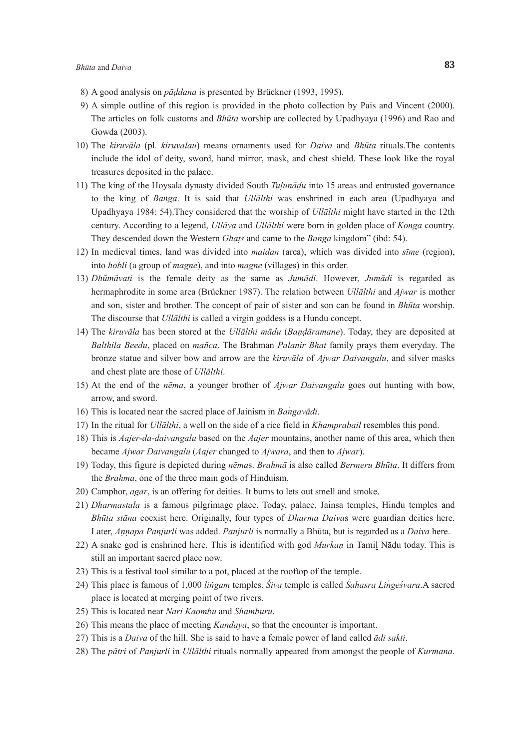- 8) A good analysis on *pāddana* is presented by Brückner (1993, 1995).
- 9) A simple outline of this region is provided in the photo collection by Pais and Vincent (2000). The articles on folk customs and *Bhūta* worship are collected by Upadhyaya (1996) and Rao and Gowda (2003).
- 10) The *kiruvāla* (pl. *kiruvalau*) means ornaments used for *Daiva* and *Bhūta* rituals.The contents include the idol of deity, sword, hand mirror, mask, and chest shield. These look like the royal treasures deposited in the palace.
- 11) The king of the Hoysala dynasty divided South *Tulunādu* into 15 areas and entrusted governance to the king of *Banga*. It is said that *Ullalthi* was enshrined in each area (Upadhyaya and Upadhyaya 1984: 54).They considered that the worship of *Ullālthi* might have started in the 12th century. According to a legend, *Ullāya* and *Ullālthi* were born in golden place of *Konga* country. They descended down the Western *Ghats* and came to the *Banga* kingdom" (ibd: 54).
- 12) In medieval times, land was divided into *maidan* (area), which was divided into *sīme* (region), into *hobli* (a group of *magne*), and into *magne* (villages) in this order.
- 13) *Dhūmāvati* is the female deity as the same as *Jumādi*. However, *Jumādi* is regarded as hermaphrodite in some area (Brückner 1987). The relation between *Ullālthi* and *Ajwar* is mother and son, sister and brother. The concept of pair of sister and son can be found in *Bhūta* worship. The discourse that *Ullālthi* is called a virgin goddess is a Hundu concept.
- 14) The *kiruvāla* has been stored at the *Ullālthi mādu* (*Bandāramane*). Today, they are deposited at *Balthila Beedu*, placed on *mañca*. The Brahman *Palanir Bhat* family prays them everyday. The bronze statue and silver bow and arrow are the *kiruvāla* of *Ajwar Daivangalu*, and silver masks and chest plate are those of *Ullālthi*.
- 15) At the end of the *nēma*, a younger brother of *Ajwar Daivangalu* goes out hunting with bow, arrow, and sword.
- 16) This is located near the sacred place of Jainism in *Bangavādi*.
- 17) In the ritual for *Ullālthi*, a well on the side of a rice field in *Khamprabail* resembles this pond.
- 18) This is *Aajer-da-daivangalu* based on the *Aajer* mountains, another name of this area, which then became *Ajwar Daivangalu* (*Aajer* changed to *Ajwara*, and then to *Ajwar*).
- 19) Today, this figure is depicted during *nēma*s. *Brahmā* is also called *Bermeru Bhūta*. It differs from the *Brahma*, one of the three main gods of Hinduism.
- 20) Camphor, *agar*, is an offering for deities. It burns to lets out smell and smoke.
- 21) *Dharmastala* is a famous pilgrimage place. Today, palace, Jainsa temples, Hindu temples and *Bhūta stāna* coexist here. Originally, four types of *Dharma Daiva*s were guardian deities here. Later, *Annapa Panjurli* was added. *Panjurli* is normally a Bhūta, but is regarded as a *Daiva* here.
- 22) A snake god is enshrined here. This is identified with god *Murkan* in Tamil Nādu today. This is still an important sacred place now.
- 23) This is a festival tool similar to a pot, placed at the rooftop of the temple.
- 24) This place is famous of 1,000 *lingam* temples. *Śiva* temple is called *Śahasra Lingeśvara*.A sacred place is located at merging point of two rivers.
- 25) This is located near *Nari Kaombu* and *Shamburu*.
- 26) This means the place of meeting *Kundaya*, so that the encounter is important.
- 27) This is a *Daiva* of the hill. She is said to have a female power of land called *ādi sakti*.
- 28) The *pātri* of *Panjurli* in *Ullālthi* rituals normally appeared from amongst the people of *Kurmana*.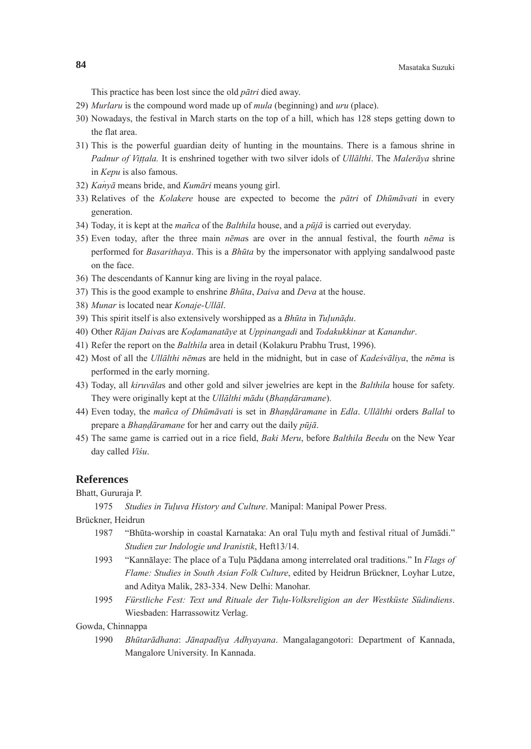This practice has been lost since the old *pātri* died away.

- 29) *Murlaru* is the compound word made up of *mula* (beginning) and *uru* (place).
- 30) Nowadays, the festival in March starts on the top of a hill, which has 128 steps getting down to the flat area.
- 31) This is the powerful guardian deity of hunting in the mountains. There is a famous shrine in *Padnur of Vittala.* It is enshrined together with two silver idols of *Ullālthi*. The *Malerāya* shrine in *Kepu* is also famous.
- 32) *Kanyā* means bride, and *Kumāri* means young girl.
- 33) Relatives of the *Kolakere* house are expected to become the *pātri* of *Dhūmāvati* in every generation.
- 34) Today, it is kept at the *mañca* of the *Balthila* house, and a *pūjā* is carried out everyday.
- 35) Even today, after the three main *nēma*s are over in the annual festival, the fourth *nēma* is performed for *Basarithaya*. This is a *Bhūta* by the impersonator with applying sandalwood paste on the face.
- 36) The descendants of Kannur king are living in the royal palace.
- 37) This is the good example to enshrine *Bhūta*, *Daiva* and *Deva* at the house.
- 38) *Munar* is located near *Konaje-Ullāl*.
- 39) This spirit itself is also extensively worshipped as a *Bhūta* in *Tulunādu*.
- 40) Other *Rājan Daiva*s are *Kodamanatāye* at *Uppinangadi* and *Todakukkinar* at *Kanandur*.
- 41) Refer the report on the *Balthila* area in detail (Kolakuru Prabhu Trust, 1996).
- 42) Most of all the *Ullālthi nēma*s are held in the midnight, but in case of *Kadeśvāliya*, the *nēma* is performed in the early morning.
- 43) Today, all *kiruvāla*s and other gold and silver jewelries are kept in the *Balthila* house for safety. They were originally kept at the *Ullālthi mādu* (*Bhandāramane*).
- 44) Even today, the *mañca of Dhūmāvati* is set in *Bhandāramane* in *Edla*. *Ullālthi* orders *Ballal* to prepare a *Bhandāramane* for her and carry out the daily *pūjā*.
- 45) The same game is carried out in a rice field, *Baki Meru*, before *Balthila Beedu* on the New Year day called *Viśu*.

## **References**

Bhatt, Gururaja P.

1975 *Studies in Tuluva History and Culture*. Manipal: Manipal Power Press.

Brückner, Heidrun

- 1987 "Bhūta-worship in coastal Karnataka: An oral Tulu myth and festival ritual of Jumādi." *Studien zur Indologie und Iranistik*, Heft13/14.
- 1993 "Kannālaye: The place of a Tulu Pāddana among interrelated oral traditions." In *Flags of Flame: Studies in South Asian Folk Culture*, edited by Heidrun Brückner, Loyhar Lutze, and Aditya Malik, 283-334. New Delhi: Manohar.
- 1995 *Fürstliche Fest: Text und Rituale der Tulu-Volksreligion an der Westküste Südindiens*. Wiesbaden: Harrassowitz Verlag.

Gowda, Chinnappa

 1990 *Bhūtarādhana*: *Jānapadīya Adhyayana*. Mangalagangotori: Department of Kannada, Mangalore University. In Kannada.